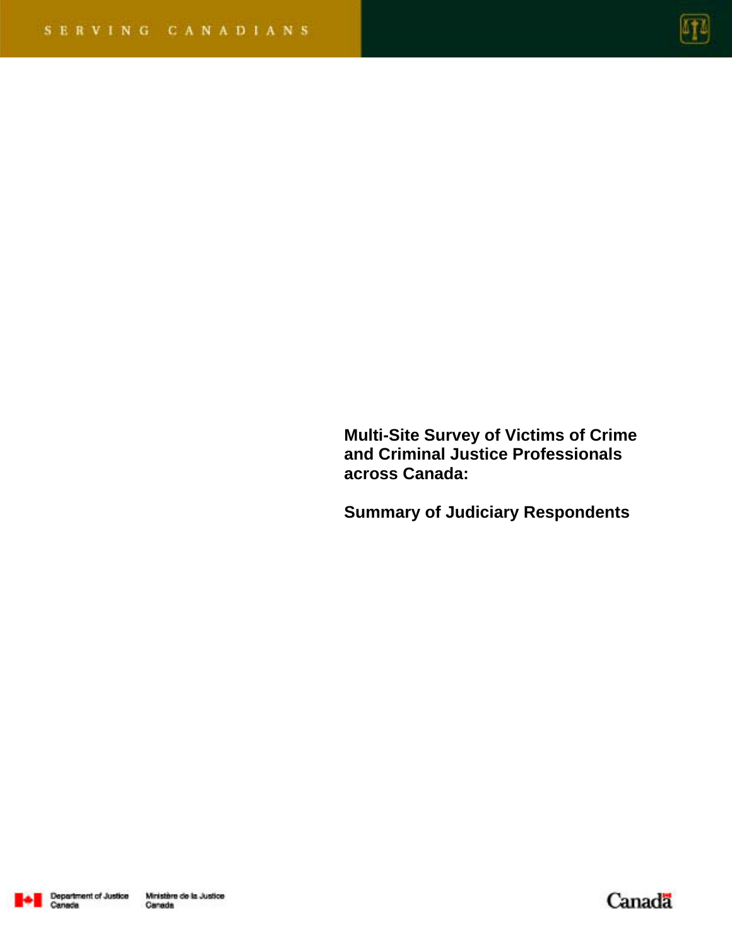

**Multi-Site Survey of Victims of Crime and Criminal Justice Professionals across Canada:** 

**Summary of Judiciary Respondents** 



Canada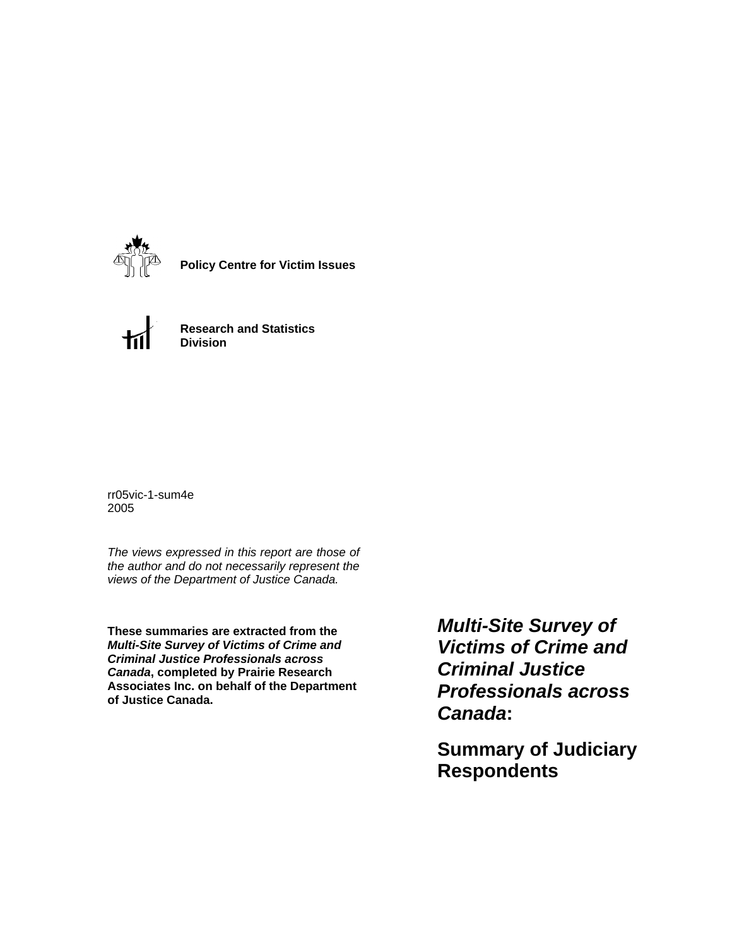

**Policy Centre for Victim Issues**



**Research and Statistics Division**

rr05vic-1-sum4e 2005

*The views expressed in this report are those of the author and do not necessarily represent the views of the Department of Justice Canada.*

**These summaries are extracted from the**  *Multi-Site Survey of Victims of Crime and Criminal Justice Professionals across Canada***, completed by Prairie Research Associates Inc. on behalf of the Department of Justice Canada.**

*Multi-Site Survey of Victims of Crime and Criminal Justice Professionals across Canada***:** 

**Summary of Judiciary Respondents**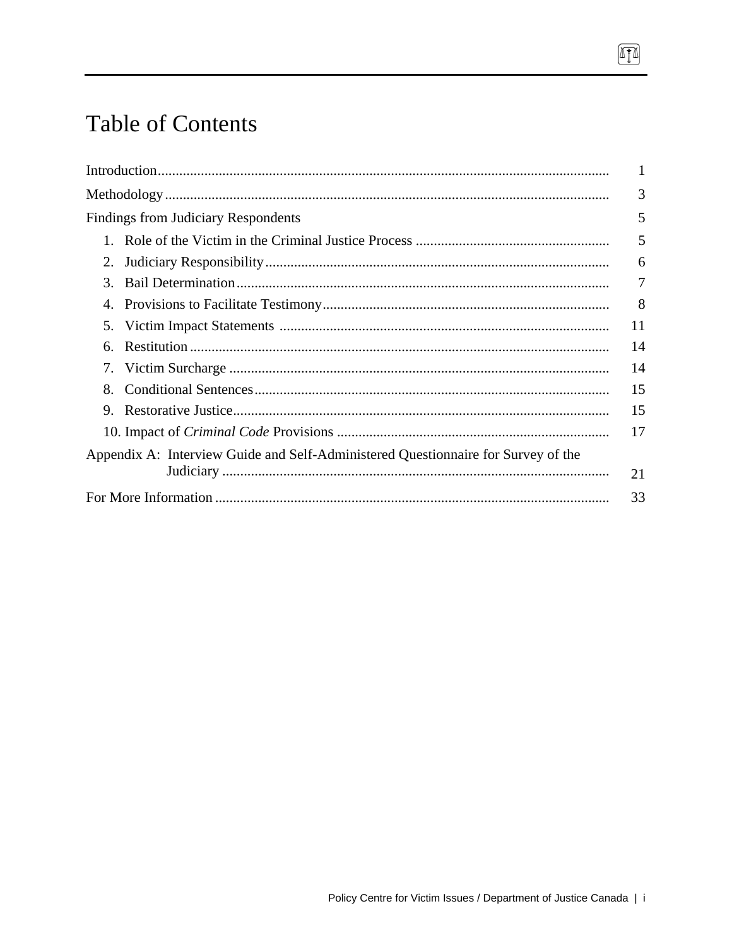# **Table of Contents**

|                                                                                   | 1  |
|-----------------------------------------------------------------------------------|----|
|                                                                                   | 3  |
| <b>Findings from Judiciary Respondents</b>                                        | 5  |
|                                                                                   | 5  |
| 2.                                                                                | 6  |
| 3.                                                                                | 7  |
|                                                                                   | 8  |
| 5.                                                                                | 11 |
| 6.                                                                                | 14 |
|                                                                                   | 14 |
| 8.                                                                                | 15 |
| 9.                                                                                | 15 |
|                                                                                   | 17 |
| Appendix A: Interview Guide and Self-Administered Questionnaire for Survey of the |    |
|                                                                                   | 21 |
|                                                                                   | 33 |
|                                                                                   |    |

 $\boxed{1}$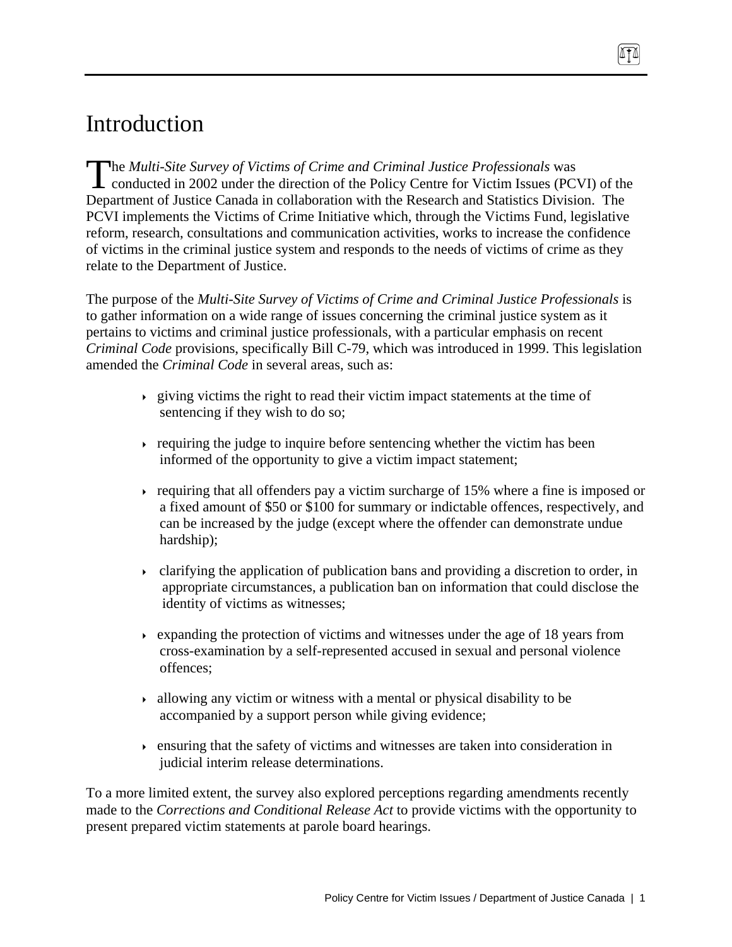# Introduction

he *Multi-Site Survey of Victims of Crime and Criminal Justice Professionals* was The Multi-Site Survey of Victims of Crime and Criminal Justice Professionals was<br>conducted in 2002 under the direction of the Policy Centre for Victim Issues (PCVI) of the Department of Justice Canada in collaboration with the Research and Statistics Division. The PCVI implements the Victims of Crime Initiative which, through the Victims Fund, legislative reform, research, consultations and communication activities, works to increase the confidence of victims in the criminal justice system and responds to the needs of victims of crime as they relate to the Department of Justice.

ITI

The purpose of the *Multi-Site Survey of Victims of Crime and Criminal Justice Professionals* is to gather information on a wide range of issues concerning the criminal justice system as it pertains to victims and criminal justice professionals, with a particular emphasis on recent *Criminal Code* provisions, specifically Bill C-79, which was introduced in 1999. This legislation amended the *Criminal Code* in several areas, such as:

- $\rightarrow$  giving victims the right to read their victim impact statements at the time of sentencing if they wish to do so;
- requiring the judge to inquire before sentencing whether the victim has been informed of the opportunity to give a victim impact statement;
- requiring that all offenders pay a victim surcharge of 15% where a fine is imposed or a fixed amount of \$50 or \$100 for summary or indictable offences, respectively, and can be increased by the judge (except where the offender can demonstrate undue hardship);
- $\rightarrow$  clarifying the application of publication bans and providing a discretion to order, in appropriate circumstances, a publication ban on information that could disclose the identity of victims as witnesses;
- $\rightarrow$  expanding the protection of victims and witnesses under the age of 18 years from cross-examination by a self-represented accused in sexual and personal violence offences;
- $\rightarrow$  allowing any victim or witness with a mental or physical disability to be accompanied by a support person while giving evidence;
- ensuring that the safety of victims and witnesses are taken into consideration in judicial interim release determinations.

To a more limited extent, the survey also explored perceptions regarding amendments recently made to the *Corrections and Conditional Release Act* to provide victims with the opportunity to present prepared victim statements at parole board hearings.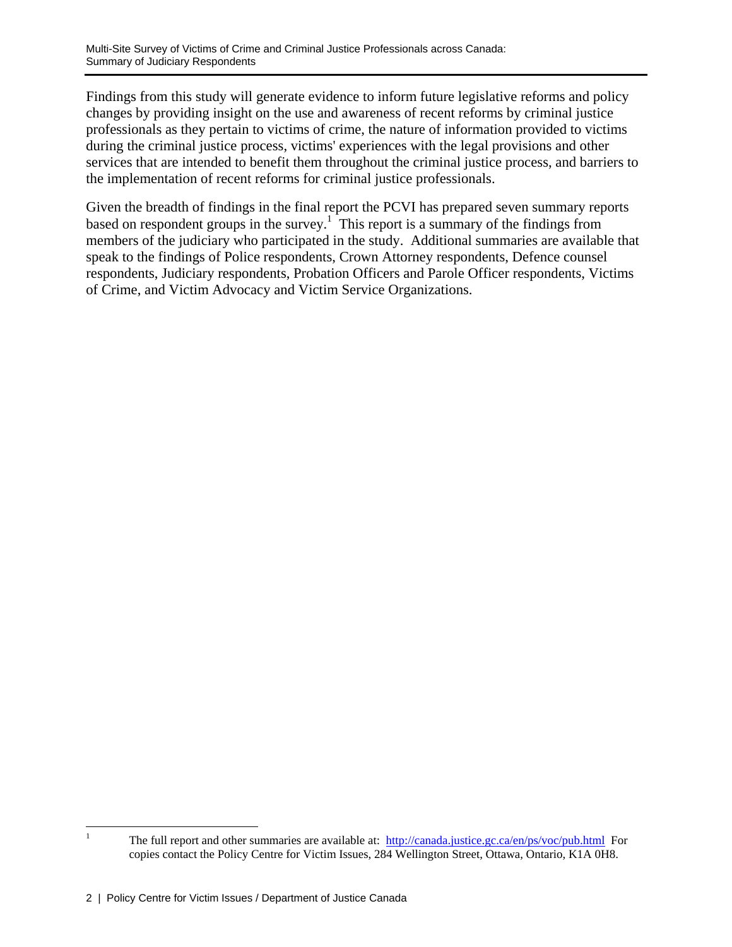Findings from this study will generate evidence to inform future legislative reforms and policy changes by providing insight on the use and awareness of recent reforms by criminal justice professionals as they pertain to victims of crime, the nature of information provided to victims during the criminal justice process, victims' experiences with the legal provisions and other services that are intended to benefit them throughout the criminal justice process, and barriers to the implementation of recent reforms for criminal justice professionals.

Given the breadth of findings in the final report the PCVI has prepared seven summary reports based on respondent groups in the survey.<sup>1</sup> This report is a summary of the findings from members of the judiciary who participated in the study. Additional summaries are available that speak to the findings of Police respondents, Crown Attorney respondents, Defence counsel respondents, Judiciary respondents, Probation Officers and Parole Officer respondents, Victims of Crime, and Victim Advocacy and Victim Service Organizations.

 $\frac{1}{1}$ The full report and other summaries are available at: http://canada.justice.gc.ca/en/ps/voc/pub.html For copies contact the Policy Centre for Victim Issues, 284 Wellington Street, Ottawa, Ontario, K1A 0H8.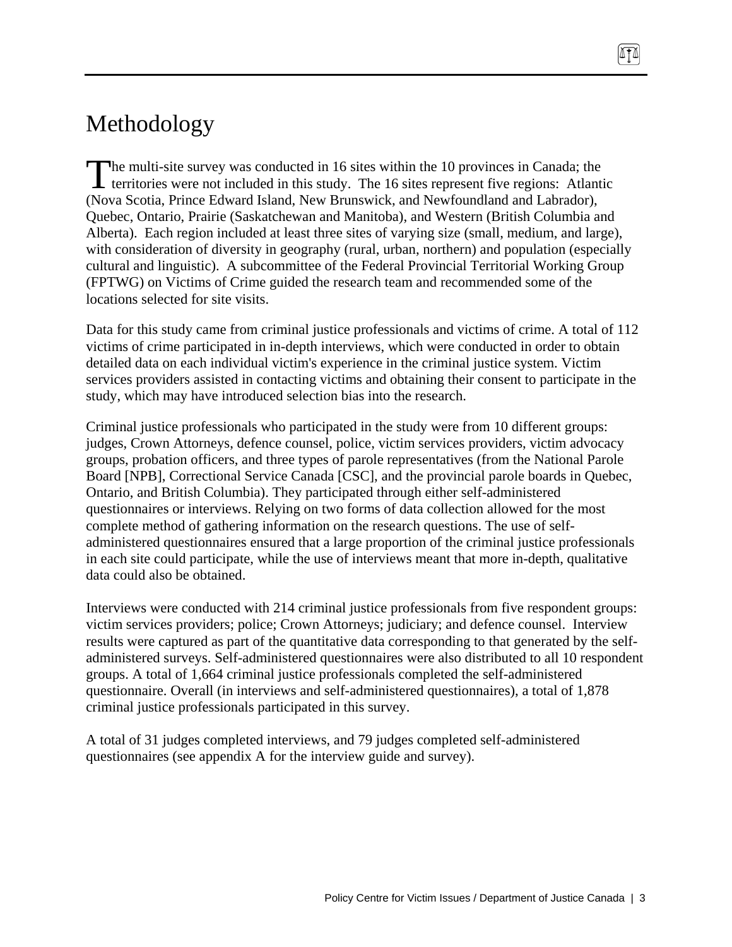# Methodology

he multi-site survey was conducted in 16 sites within the 10 provinces in Canada; the territories were not included in this study. The 16 sites represent five regions: Atlantic (Nova Scotia, Prince Edward Island, New Brunswick, and Newfoundland and Labrador), Quebec, Ontario, Prairie (Saskatchewan and Manitoba), and Western (British Columbia and Alberta). Each region included at least three sites of varying size (small, medium, and large), with consideration of diversity in geography (rural, urban, northern) and population (especially cultural and linguistic). A subcommittee of the Federal Provincial Territorial Working Group (FPTWG) on Victims of Crime guided the research team and recommended some of the locations selected for site visits.  $\int_{0}^{\frac{h}{t}}$ 

ITT

Data for this study came from criminal justice professionals and victims of crime. A total of 112 victims of crime participated in in-depth interviews, which were conducted in order to obtain detailed data on each individual victim's experience in the criminal justice system. Victim services providers assisted in contacting victims and obtaining their consent to participate in the study, which may have introduced selection bias into the research.

Criminal justice professionals who participated in the study were from 10 different groups: judges, Crown Attorneys, defence counsel, police, victim services providers, victim advocacy groups, probation officers, and three types of parole representatives (from the National Parole Board [NPB], Correctional Service Canada [CSC], and the provincial parole boards in Quebec, Ontario, and British Columbia). They participated through either self-administered questionnaires or interviews. Relying on two forms of data collection allowed for the most complete method of gathering information on the research questions. The use of selfadministered questionnaires ensured that a large proportion of the criminal justice professionals in each site could participate, while the use of interviews meant that more in-depth, qualitative data could also be obtained.

Interviews were conducted with 214 criminal justice professionals from five respondent groups: victim services providers; police; Crown Attorneys; judiciary; and defence counsel. Interview results were captured as part of the quantitative data corresponding to that generated by the selfadministered surveys. Self-administered questionnaires were also distributed to all 10 respondent groups. A total of 1,664 criminal justice professionals completed the self-administered questionnaire. Overall (in interviews and self-administered questionnaires), a total of 1,878 criminal justice professionals participated in this survey.

A total of 31 judges completed interviews, and 79 judges completed self-administered questionnaires (see appendix A for the interview guide and survey).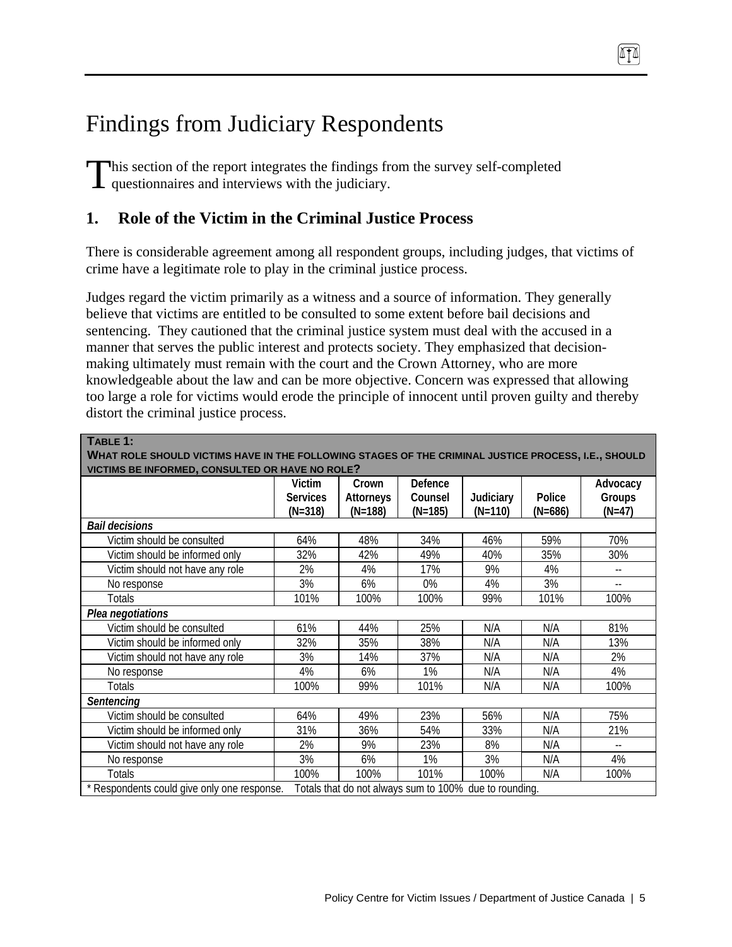# Findings from Judiciary Respondents

his section of the report integrates the findings from the survey self-completed This section of the report integrates the findings from questionnaires and interviews with the judiciary.

# **1. Role of the Victim in the Criminal Justice Process**

There is considerable agreement among all respondent groups, including judges, that victims of crime have a legitimate role to play in the criminal justice process.

ATA

Judges regard the victim primarily as a witness and a source of information. They generally believe that victims are entitled to be consulted to some extent before bail decisions and sentencing. They cautioned that the criminal justice system must deal with the accused in a manner that serves the public interest and protects society. They emphasized that decisionmaking ultimately must remain with the court and the Crown Attorney, who are more knowledgeable about the law and can be more objective. Concern was expressed that allowing too large a role for victims would erode the principle of innocent until proven guilty and thereby distort the criminal justice process.

| TABLE 1:                                                                                              |                 |           |           |           |           |                            |  |  |  |
|-------------------------------------------------------------------------------------------------------|-----------------|-----------|-----------|-----------|-----------|----------------------------|--|--|--|
| WHAT ROLE SHOULD VICTIMS HAVE IN THE FOLLOWING STAGES OF THE CRIMINAL JUSTICE PROCESS, I.E., SHOULD   |                 |           |           |           |           |                            |  |  |  |
| VICTIMS BE INFORMED, CONSULTED OR HAVE NO ROLE?                                                       |                 |           |           |           |           |                            |  |  |  |
|                                                                                                       | Victim          | Crown     | Defence   |           |           | Advocacy                   |  |  |  |
|                                                                                                       | <b>Services</b> | Attorneys | Counsel   | Judiciary | Police    | Groups                     |  |  |  |
|                                                                                                       | $(N=318)$       | $(N=188)$ | $(N=185)$ | $(N=110)$ | $(N=686)$ | $(N=47)$                   |  |  |  |
| <b>Bail decisions</b>                                                                                 |                 |           |           |           |           |                            |  |  |  |
| Victim should be consulted                                                                            | 64%             | 48%       | 34%       | 46%       | 59%       | 70%                        |  |  |  |
| Victim should be informed only                                                                        | 32%             | 42%       | 49%       | 40%       | 35%       | 30%                        |  |  |  |
| Victim should not have any role                                                                       | 2%              | 4%        | 17%       | 9%        | 4%        | $-$                        |  |  |  |
| No response                                                                                           | 3%              | 6%        | 0%        | 4%        | 3%        | $\overline{\phantom{a}}$ . |  |  |  |
| Totals                                                                                                | 101%            | 100%      | 100%      | 99%       | 101%      | 100%                       |  |  |  |
| Plea negotiations                                                                                     |                 |           |           |           |           |                            |  |  |  |
| Victim should be consulted                                                                            | 61%             | 44%       | 25%       | N/A       | N/A       | 81%                        |  |  |  |
| Victim should be informed only                                                                        | 32%             | 35%       | 38%       | N/A       | N/A       | 13%                        |  |  |  |
| Victim should not have any role                                                                       | 3%              | 14%       | 37%       | N/A       | N/A       | 2%                         |  |  |  |
| No response                                                                                           | 4%              | 6%        | 1%        | N/A       | N/A       | 4%                         |  |  |  |
| Totals                                                                                                | 100%            | 99%       | 101%      | N/A       | N/A       | 100%                       |  |  |  |
| Sentencing                                                                                            |                 |           |           |           |           |                            |  |  |  |
| Victim should be consulted                                                                            | 64%             | 49%       | 23%       | 56%       | N/A       | 75%                        |  |  |  |
| Victim should be informed only                                                                        | 31%             | 36%       | 54%       | 33%       | N/A       | 21%                        |  |  |  |
| Victim should not have any role                                                                       | 2%              | 9%        | 23%       | 8%        | N/A       | $-$                        |  |  |  |
| No response                                                                                           | 3%              | 6%        | 1%        | 3%        | N/A       | 4%                         |  |  |  |
| Totals                                                                                                | 100%            | 100%      | 101%      | 100%      | N/A       | 100%                       |  |  |  |
| * Respondents could give only one response.<br>Totals that do not always sum to 100% due to rounding. |                 |           |           |           |           |                            |  |  |  |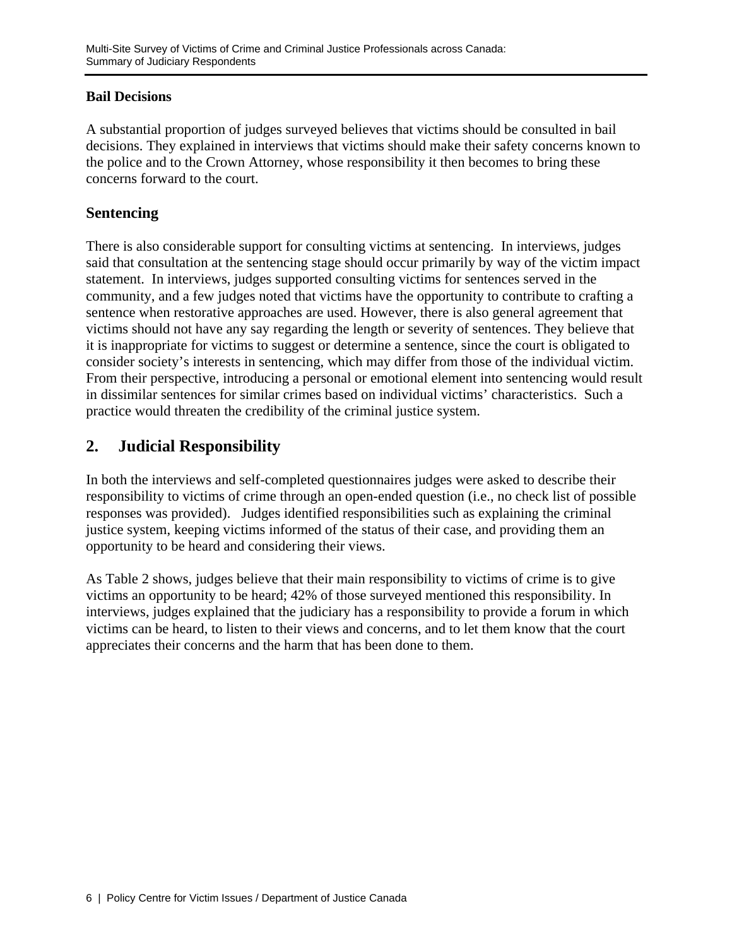### **Bail Decisions**

A substantial proportion of judges surveyed believes that victims should be consulted in bail decisions. They explained in interviews that victims should make their safety concerns known to the police and to the Crown Attorney, whose responsibility it then becomes to bring these concerns forward to the court.

### **Sentencing**

There is also considerable support for consulting victims at sentencing. In interviews, judges said that consultation at the sentencing stage should occur primarily by way of the victim impact statement. In interviews, judges supported consulting victims for sentences served in the community, and a few judges noted that victims have the opportunity to contribute to crafting a sentence when restorative approaches are used. However, there is also general agreement that victims should not have any say regarding the length or severity of sentences. They believe that it is inappropriate for victims to suggest or determine a sentence, since the court is obligated to consider society's interests in sentencing, which may differ from those of the individual victim. From their perspective, introducing a personal or emotional element into sentencing would result in dissimilar sentences for similar crimes based on individual victims' characteristics. Such a practice would threaten the credibility of the criminal justice system.

# **2. Judicial Responsibility**

In both the interviews and self-completed questionnaires judges were asked to describe their responsibility to victims of crime through an open-ended question (i.e., no check list of possible responses was provided). Judges identified responsibilities such as explaining the criminal justice system, keeping victims informed of the status of their case, and providing them an opportunity to be heard and considering their views.

As Table 2 shows, judges believe that their main responsibility to victims of crime is to give victims an opportunity to be heard; 42% of those surveyed mentioned this responsibility. In interviews, judges explained that the judiciary has a responsibility to provide a forum in which victims can be heard, to listen to their views and concerns, and to let them know that the court appreciates their concerns and the harm that has been done to them.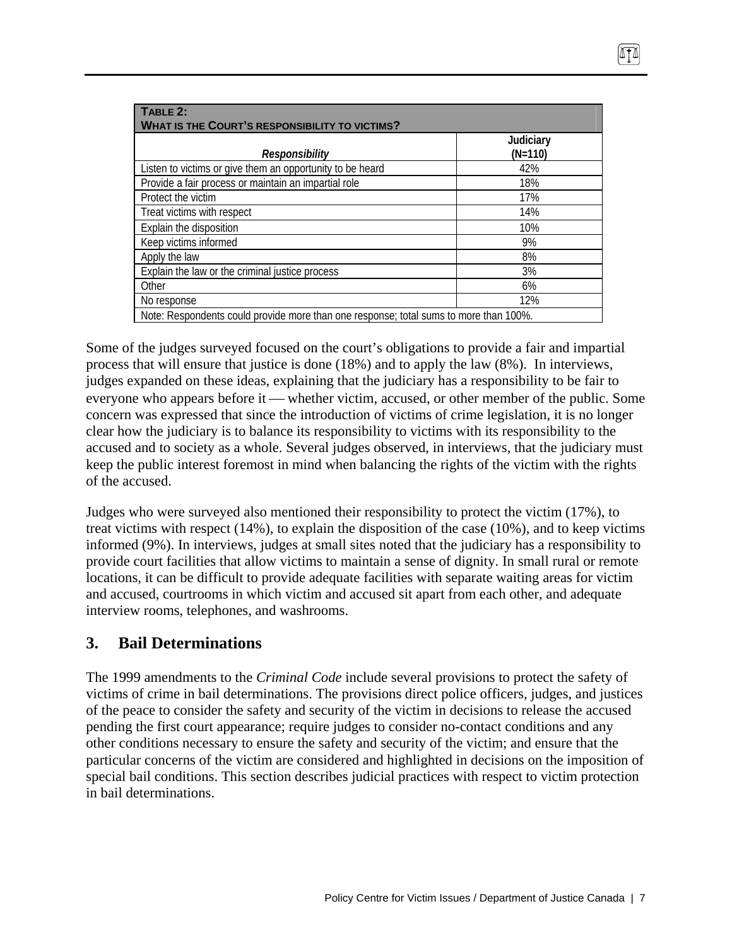| TABLE 2:<br><b>WHAT IS THE COURT'S RESPONSIBILITY TO VICTIMS?</b>                     |                        |
|---------------------------------------------------------------------------------------|------------------------|
| Responsibility                                                                        | Judiciary<br>$(N=110)$ |
| Listen to victims or give them an opportunity to be heard                             | 42%                    |
| Provide a fair process or maintain an impartial role                                  | 18%                    |
| Protect the victim                                                                    | 17%                    |
| Treat victims with respect                                                            | 14%                    |
| Explain the disposition                                                               | 10%                    |
| Keep victims informed                                                                 | 9%                     |
| Apply the law                                                                         | 8%                     |
| Explain the law or the criminal justice process                                       | 3%                     |
| Other                                                                                 | 6%                     |
| No response                                                                           | 12%                    |
| Note: Respondents could provide more than one response; total sums to more than 100%. |                        |

Some of the judges surveyed focused on the court's obligations to provide a fair and impartial process that will ensure that justice is done (18%) and to apply the law (8%). In interviews, judges expanded on these ideas, explaining that the judiciary has a responsibility to be fair to everyone who appears before it — whether victim, accused, or other member of the public. Some concern was expressed that since the introduction of victims of crime legislation, it is no longer clear how the judiciary is to balance its responsibility to victims with its responsibility to the accused and to society as a whole. Several judges observed, in interviews, that the judiciary must keep the public interest foremost in mind when balancing the rights of the victim with the rights of the accused.

Judges who were surveyed also mentioned their responsibility to protect the victim (17%), to treat victims with respect (14%), to explain the disposition of the case (10%), and to keep victims informed (9%). In interviews, judges at small sites noted that the judiciary has a responsibility to provide court facilities that allow victims to maintain a sense of dignity. In small rural or remote locations, it can be difficult to provide adequate facilities with separate waiting areas for victim and accused, courtrooms in which victim and accused sit apart from each other, and adequate interview rooms, telephones, and washrooms.

# **3. Bail Determinations**

The 1999 amendments to the *Criminal Code* include several provisions to protect the safety of victims of crime in bail determinations. The provisions direct police officers, judges, and justices of the peace to consider the safety and security of the victim in decisions to release the accused pending the first court appearance; require judges to consider no-contact conditions and any other conditions necessary to ensure the safety and security of the victim; and ensure that the particular concerns of the victim are considered and highlighted in decisions on the imposition of special bail conditions. This section describes judicial practices with respect to victim protection in bail determinations.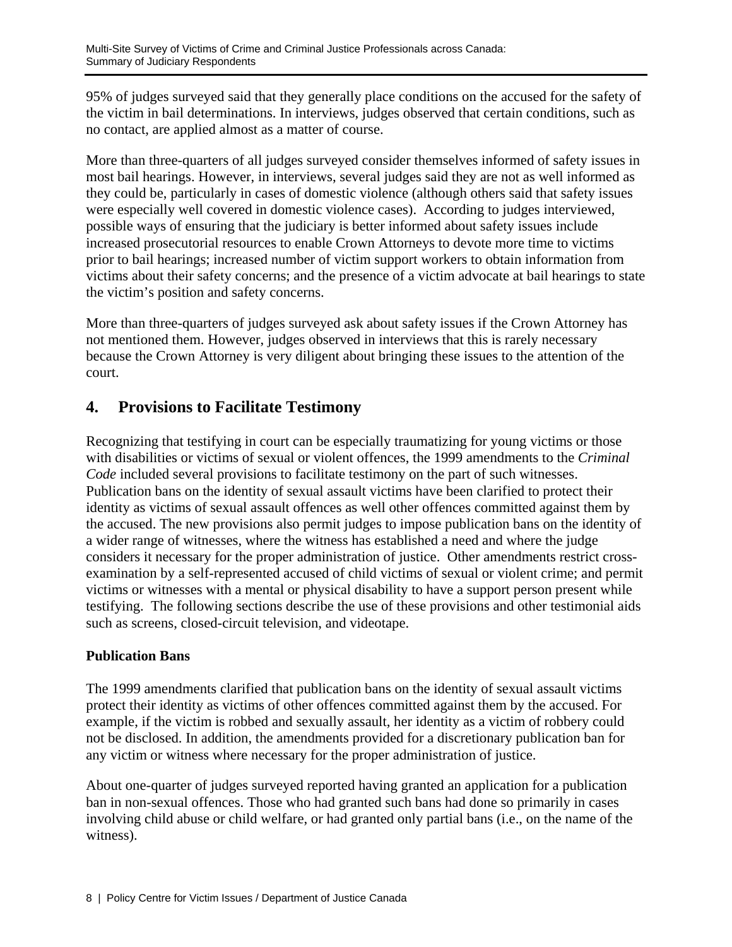95% of judges surveyed said that they generally place conditions on the accused for the safety of the victim in bail determinations. In interviews, judges observed that certain conditions, such as no contact, are applied almost as a matter of course.

More than three-quarters of all judges surveyed consider themselves informed of safety issues in most bail hearings. However, in interviews, several judges said they are not as well informed as they could be, particularly in cases of domestic violence (although others said that safety issues were especially well covered in domestic violence cases). According to judges interviewed, possible ways of ensuring that the judiciary is better informed about safety issues include increased prosecutorial resources to enable Crown Attorneys to devote more time to victims prior to bail hearings; increased number of victim support workers to obtain information from victims about their safety concerns; and the presence of a victim advocate at bail hearings to state the victim's position and safety concerns.

More than three-quarters of judges surveyed ask about safety issues if the Crown Attorney has not mentioned them. However, judges observed in interviews that this is rarely necessary because the Crown Attorney is very diligent about bringing these issues to the attention of the court.

# **4. Provisions to Facilitate Testimony**

Recognizing that testifying in court can be especially traumatizing for young victims or those with disabilities or victims of sexual or violent offences, the 1999 amendments to the *Criminal Code* included several provisions to facilitate testimony on the part of such witnesses. Publication bans on the identity of sexual assault victims have been clarified to protect their identity as victims of sexual assault offences as well other offences committed against them by the accused. The new provisions also permit judges to impose publication bans on the identity of a wider range of witnesses, where the witness has established a need and where the judge considers it necessary for the proper administration of justice. Other amendments restrict crossexamination by a self-represented accused of child victims of sexual or violent crime; and permit victims or witnesses with a mental or physical disability to have a support person present while testifying. The following sections describe the use of these provisions and other testimonial aids such as screens, closed-circuit television, and videotape.

### **Publication Bans**

The 1999 amendments clarified that publication bans on the identity of sexual assault victims protect their identity as victims of other offences committed against them by the accused. For example, if the victim is robbed and sexually assault, her identity as a victim of robbery could not be disclosed. In addition, the amendments provided for a discretionary publication ban for any victim or witness where necessary for the proper administration of justice.

About one-quarter of judges surveyed reported having granted an application for a publication ban in non-sexual offences. Those who had granted such bans had done so primarily in cases involving child abuse or child welfare, or had granted only partial bans (i.e., on the name of the witness).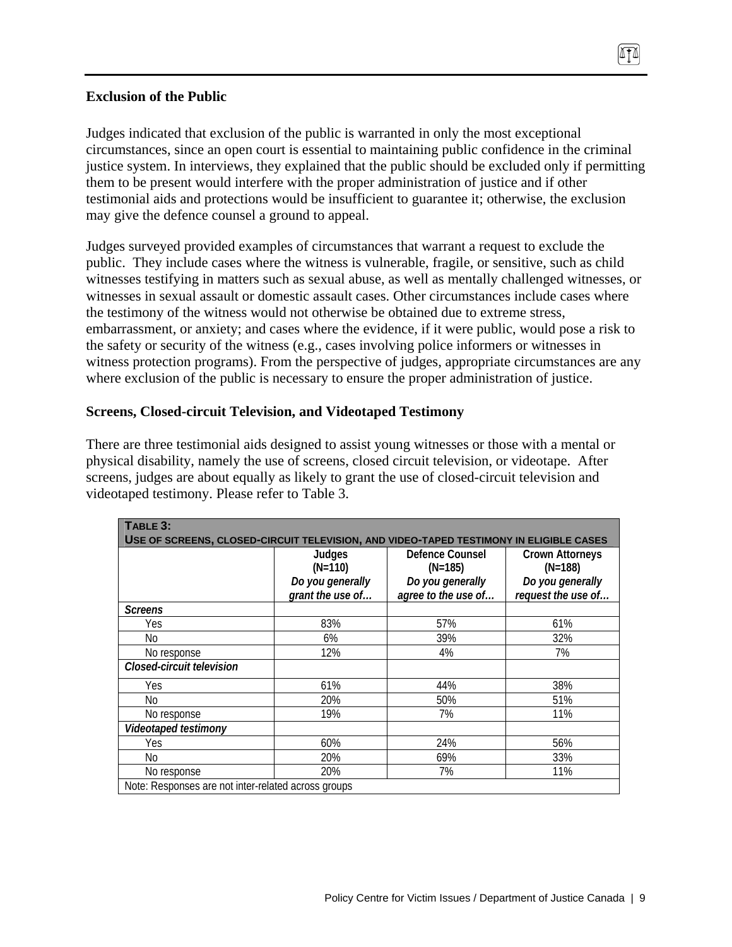### **Exclusion of the Public**

Judges indicated that exclusion of the public is warranted in only the most exceptional circumstances, since an open court is essential to maintaining public confidence in the criminal justice system. In interviews, they explained that the public should be excluded only if permitting them to be present would interfere with the proper administration of justice and if other testimonial aids and protections would be insufficient to guarantee it; otherwise, the exclusion may give the defence counsel a ground to appeal.

ITT

Judges surveyed provided examples of circumstances that warrant a request to exclude the public. They include cases where the witness is vulnerable, fragile, or sensitive, such as child witnesses testifying in matters such as sexual abuse, as well as mentally challenged witnesses, or witnesses in sexual assault or domestic assault cases. Other circumstances include cases where the testimony of the witness would not otherwise be obtained due to extreme stress, embarrassment, or anxiety; and cases where the evidence, if it were public, would pose a risk to the safety or security of the witness (e.g., cases involving police informers or witnesses in witness protection programs). From the perspective of judges, appropriate circumstances are any where exclusion of the public is necessary to ensure the proper administration of justice.

### **Screens, Closed-circuit Television, and Videotaped Testimony**

There are three testimonial aids designed to assist young witnesses or those with a mental or physical disability, namely the use of screens, closed circuit television, or videotape. After screens, judges are about equally as likely to grant the use of closed-circuit television and videotaped testimony. Please refer to Table 3.

| TABLE 3:                                                                               |                  |                     |                    |  |  |  |  |
|----------------------------------------------------------------------------------------|------------------|---------------------|--------------------|--|--|--|--|
| USE OF SCREENS, CLOSED-CIRCUIT TELEVISION, AND VIDEO-TAPED TESTIMONY IN ELIGIBLE CASES |                  |                     |                    |  |  |  |  |
|                                                                                        | Judges           | Defence Counsel     |                    |  |  |  |  |
|                                                                                        | $(N=110)$        | $(N=185)$           | $(N=188)$          |  |  |  |  |
|                                                                                        | Do you generally | Do you generally    | Do you generally   |  |  |  |  |
|                                                                                        | grant the use of | agree to the use of | request the use of |  |  |  |  |
| <b>Screens</b>                                                                         |                  |                     |                    |  |  |  |  |
| Yes                                                                                    | 83%              | 57%                 | 61%                |  |  |  |  |
| No                                                                                     | 6%               | 39%                 | 32%                |  |  |  |  |
| No response                                                                            | 12%              | 4%                  | 7%                 |  |  |  |  |
| Closed-circuit television                                                              |                  |                     |                    |  |  |  |  |
| Yes                                                                                    | 61%              | 44%                 | 38%                |  |  |  |  |
| No                                                                                     | 20%              | 50%                 | 51%                |  |  |  |  |
| No response                                                                            | 19%              | 7%                  | 11%                |  |  |  |  |
| Videotaped testimony                                                                   |                  |                     |                    |  |  |  |  |
| Yes                                                                                    | 60%              | 24%                 | 56%                |  |  |  |  |
| No                                                                                     | 20%              | 69%                 | 33%                |  |  |  |  |
| No response                                                                            | 20%              | 7%                  | 11%                |  |  |  |  |
| Note: Responses are not inter-related across groups                                    |                  |                     |                    |  |  |  |  |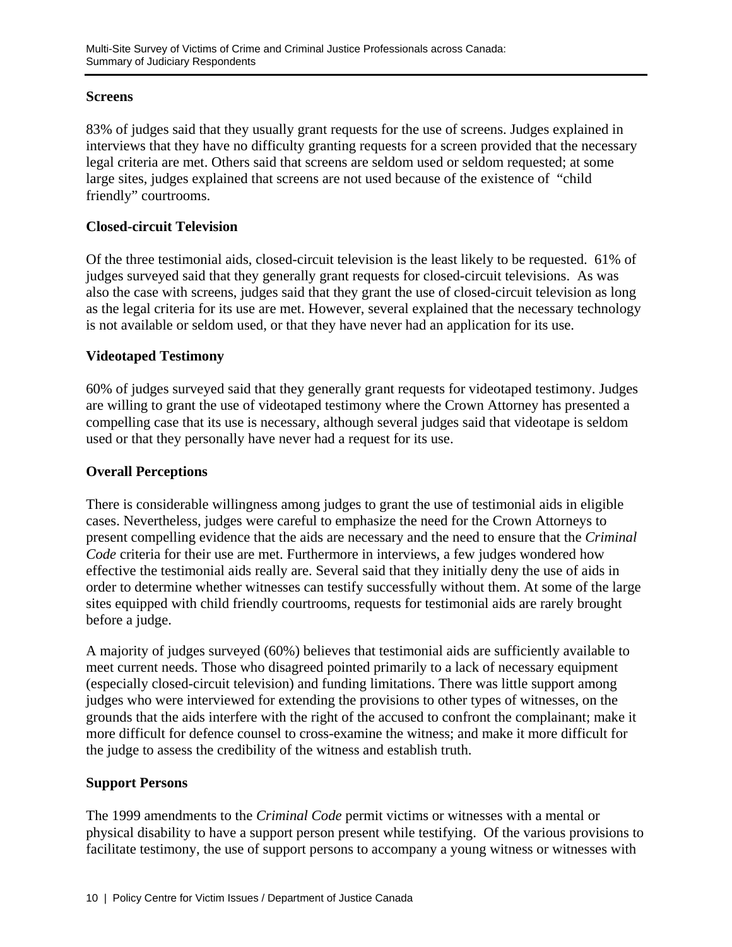### **Screens**

83% of judges said that they usually grant requests for the use of screens. Judges explained in interviews that they have no difficulty granting requests for a screen provided that the necessary legal criteria are met. Others said that screens are seldom used or seldom requested; at some large sites, judges explained that screens are not used because of the existence of "child friendly" courtrooms.

### **Closed-circuit Television**

Of the three testimonial aids, closed-circuit television is the least likely to be requested. 61% of judges surveyed said that they generally grant requests for closed-circuit televisions. As was also the case with screens, judges said that they grant the use of closed-circuit television as long as the legal criteria for its use are met. However, several explained that the necessary technology is not available or seldom used, or that they have never had an application for its use.

### **Videotaped Testimony**

60% of judges surveyed said that they generally grant requests for videotaped testimony. Judges are willing to grant the use of videotaped testimony where the Crown Attorney has presented a compelling case that its use is necessary, although several judges said that videotape is seldom used or that they personally have never had a request for its use.

### **Overall Perceptions**

There is considerable willingness among judges to grant the use of testimonial aids in eligible cases. Nevertheless, judges were careful to emphasize the need for the Crown Attorneys to present compelling evidence that the aids are necessary and the need to ensure that the *Criminal Code* criteria for their use are met. Furthermore in interviews, a few judges wondered how effective the testimonial aids really are. Several said that they initially deny the use of aids in order to determine whether witnesses can testify successfully without them. At some of the large sites equipped with child friendly courtrooms, requests for testimonial aids are rarely brought before a judge.

A majority of judges surveyed (60%) believes that testimonial aids are sufficiently available to meet current needs. Those who disagreed pointed primarily to a lack of necessary equipment (especially closed-circuit television) and funding limitations. There was little support among judges who were interviewed for extending the provisions to other types of witnesses, on the grounds that the aids interfere with the right of the accused to confront the complainant; make it more difficult for defence counsel to cross-examine the witness; and make it more difficult for the judge to assess the credibility of the witness and establish truth.

### **Support Persons**

The 1999 amendments to the *Criminal Code* permit victims or witnesses with a mental or physical disability to have a support person present while testifying. Of the various provisions to facilitate testimony, the use of support persons to accompany a young witness or witnesses with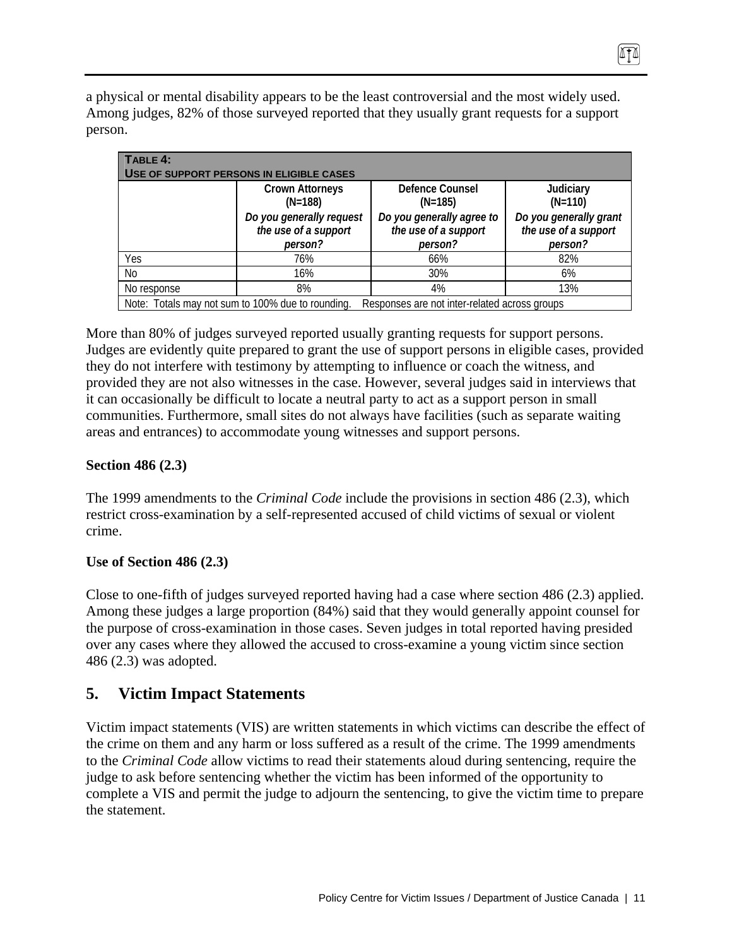a physical or mental disability appears to be the least controversial and the most widely used. Among judges, 82% of those surveyed reported that they usually grant requests for a support person.

| TABLE 4:<br>USE OF SUPPORT PERSONS IN ELIGIBLE CASES        |                                                   |                                                              |                                                           |  |  |  |  |
|-------------------------------------------------------------|---------------------------------------------------|--------------------------------------------------------------|-----------------------------------------------------------|--|--|--|--|
|                                                             | <b>Crown Attorneys</b><br>$(N=188)$               | Defence Counsel<br>$(N=185)$                                 | Judiciary<br>$(N=110)$                                    |  |  |  |  |
| Do you generally request<br>the use of a support<br>person? |                                                   | Do you generally agree to<br>the use of a support<br>person? | Do you generally grant<br>the use of a support<br>person? |  |  |  |  |
| Yes                                                         | 76%                                               | 66%                                                          | 82%                                                       |  |  |  |  |
| N <sub>0</sub>                                              | 16%                                               | 30%                                                          | 6%                                                        |  |  |  |  |
| No response                                                 | 8%                                                | 4%                                                           | 13%                                                       |  |  |  |  |
|                                                             | Note: Totals may not sum to 100% due to rounding. | Responses are not inter-related across groups                |                                                           |  |  |  |  |

More than 80% of judges surveyed reported usually granting requests for support persons. Judges are evidently quite prepared to grant the use of support persons in eligible cases, provided they do not interfere with testimony by attempting to influence or coach the witness, and provided they are not also witnesses in the case. However, several judges said in interviews that it can occasionally be difficult to locate a neutral party to act as a support person in small communities. Furthermore, small sites do not always have facilities (such as separate waiting areas and entrances) to accommodate young witnesses and support persons.

### **Section 486 (2.3)**

The 1999 amendments to the *Criminal Code* include the provisions in section 486 (2.3), which restrict cross-examination by a self-represented accused of child victims of sexual or violent crime.

### **Use of Section 486 (2.3)**

Close to one-fifth of judges surveyed reported having had a case where section 486 (2.3) applied. Among these judges a large proportion (84%) said that they would generally appoint counsel for the purpose of cross-examination in those cases. Seven judges in total reported having presided over any cases where they allowed the accused to cross-examine a young victim since section 486 (2.3) was adopted.

## **5. Victim Impact Statements**

Victim impact statements (VIS) are written statements in which victims can describe the effect of the crime on them and any harm or loss suffered as a result of the crime. The 1999 amendments to the *Criminal Code* allow victims to read their statements aloud during sentencing, require the judge to ask before sentencing whether the victim has been informed of the opportunity to complete a VIS and permit the judge to adjourn the sentencing, to give the victim time to prepare the statement.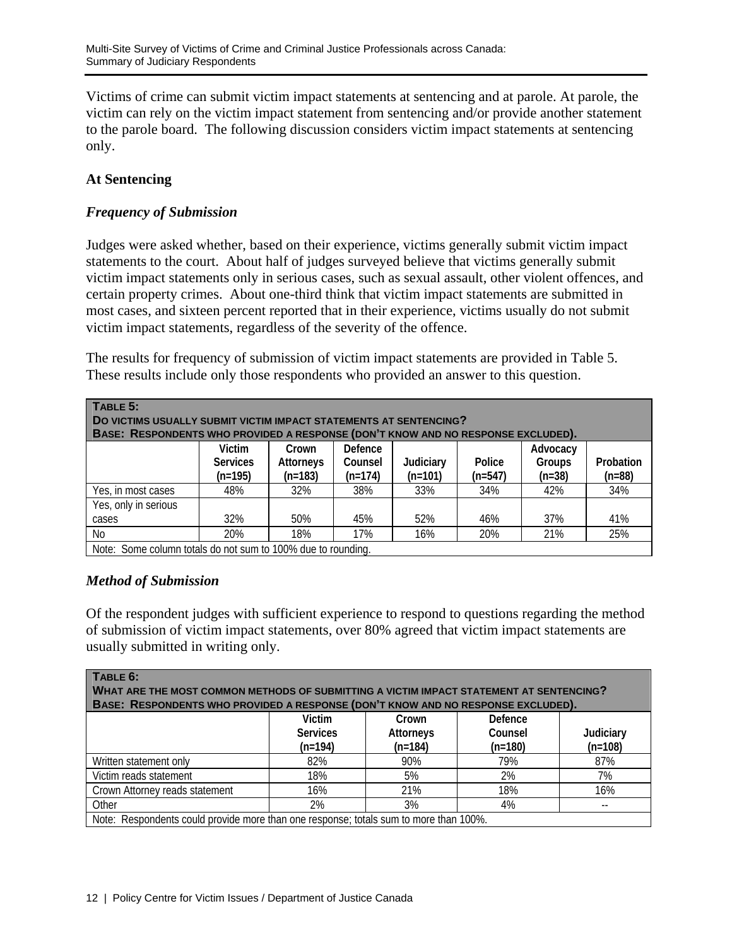Victims of crime can submit victim impact statements at sentencing and at parole. At parole, the victim can rely on the victim impact statement from sentencing and/or provide another statement to the parole board. The following discussion considers victim impact statements at sentencing only.

### **At Sentencing**

### *Frequency of Submission*

Judges were asked whether, based on their experience, victims generally submit victim impact statements to the court. About half of judges surveyed believe that victims generally submit victim impact statements only in serious cases, such as sexual assault, other violent offences, and certain property crimes. About one-third think that victim impact statements are submitted in most cases, and sixteen percent reported that in their experience, victims usually do not submit victim impact statements, regardless of the severity of the offence.

The results for frequency of submission of victim impact statements are provided in Table 5. These results include only those respondents who provided an answer to this question.

| TABLE 5:<br>DO VICTIMS USUALLY SUBMIT VICTIM IMPACT STATEMENTS AT SENTENCING?<br>BASE: RESPONDENTS WHO PROVIDED A RESPONSE (DON'T KNOW AND NO RESPONSE EXCLUDED).                                                    |     |     |     |     |     |     |     |  |  |
|----------------------------------------------------------------------------------------------------------------------------------------------------------------------------------------------------------------------|-----|-----|-----|-----|-----|-----|-----|--|--|
| Defence<br>Victim<br>Advocacy<br>Crown<br>Probation<br><b>Services</b><br>Counsel<br>Judiciary<br>Police<br>Attorneys<br>Groups<br>$(n=547)$<br>$(n=88)$<br>$(n=101)$<br>(n=195)<br>$(n=183)$<br>$(n=38)$<br>(n=174) |     |     |     |     |     |     |     |  |  |
| Yes, in most cases                                                                                                                                                                                                   | 48% | 32% | 38% | 33% | 34% | 42% | 34% |  |  |
| Yes, only in serious                                                                                                                                                                                                 |     |     |     |     |     |     |     |  |  |
| cases                                                                                                                                                                                                                | 32% | 50% | 45% | 52% | 46% | 37% | 41% |  |  |
| No                                                                                                                                                                                                                   | 20% | 18% | 17% | 16% | 20% | 21% | 25% |  |  |
| Note: Some column totals do not sum to 100% due to rounding                                                                                                                                                          |     |     |     |     |     |     |     |  |  |

Note: Some column totals do not sum to 100% due to rounding.

### *Method of Submission*

Of the respondent judges with sufficient experience to respond to questions regarding the method of submission of victim impact statements, over 80% agreed that victim impact statements are usually submitted in writing only.

| TABLE 6:<br>WHAT ARE THE MOST COMMON METHODS OF SUBMITTING A VICTIM IMPACT STATEMENT AT SENTENCING?<br>BASE: RESPONDENTS WHO PROVIDED A RESPONSE (DON'T KNOW AND NO RESPONSE EXCLUDED). |                 |                  |           |           |  |  |  |
|-----------------------------------------------------------------------------------------------------------------------------------------------------------------------------------------|-----------------|------------------|-----------|-----------|--|--|--|
| <b>Victim</b><br>Defence<br>Crown                                                                                                                                                       |                 |                  |           |           |  |  |  |
|                                                                                                                                                                                         | <b>Services</b> | <b>Attorneys</b> | Counsel   | Judiciary |  |  |  |
|                                                                                                                                                                                         | $(n=194)$       | $(n=184)$        | $(n=180)$ | $(n=108)$ |  |  |  |
| Written statement only                                                                                                                                                                  | 82%             | 90%              | 79%       | 87%       |  |  |  |
| Victim reads statement                                                                                                                                                                  | 18%             | 5%               | 2%        | 7%        |  |  |  |
| Crown Attorney reads statement                                                                                                                                                          | 16%             | 21%              | 18%       | 16%       |  |  |  |
| Other                                                                                                                                                                                   | 2%              | 3%               | 4%        |           |  |  |  |
| Note: Respondents could provide more than one response; totals sum to more than 100%.                                                                                                   |                 |                  |           |           |  |  |  |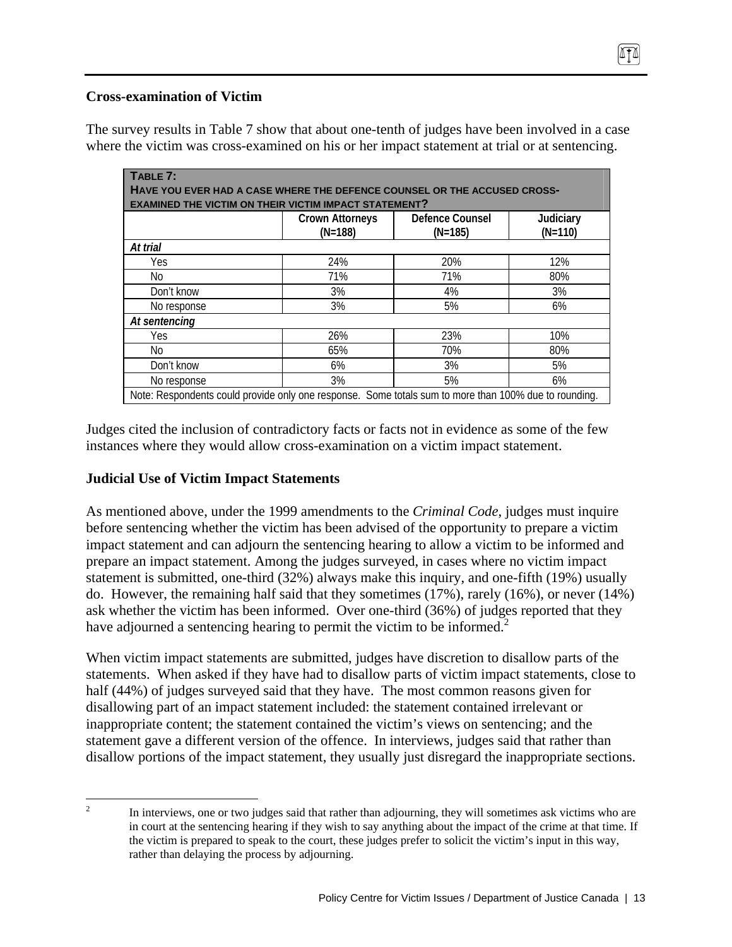### **Cross-examination of Victim**

The survey results in Table 7 show that about one-tenth of judges have been involved in a case where the victim was cross-examined on his or her impact statement at trial or at sentencing.

| TABLE 7:                                                                                              |                                     |                              |                        |  |  |  |  |
|-------------------------------------------------------------------------------------------------------|-------------------------------------|------------------------------|------------------------|--|--|--|--|
| HAVE YOU EVER HAD A CASE WHERE THE DEFENCE COUNSEL OR THE ACCUSED CROSS-                              |                                     |                              |                        |  |  |  |  |
| <b>EXAMINED THE VICTIM ON THEIR VICTIM IMPACT STATEMENT?</b>                                          |                                     |                              |                        |  |  |  |  |
|                                                                                                       | <b>Crown Attorneys</b><br>$(N=188)$ | Defence Counsel<br>$(N=185)$ | Judiciary<br>$(N=110)$ |  |  |  |  |
| At trial                                                                                              |                                     |                              |                        |  |  |  |  |
| Yes                                                                                                   | 24%                                 | 20%                          | 12%                    |  |  |  |  |
| No                                                                                                    | 71%                                 | 71%                          | 80%                    |  |  |  |  |
| Don't know                                                                                            | 3%                                  | 4%                           | 3%                     |  |  |  |  |
| No response                                                                                           | 3%                                  | 5%                           | 6%                     |  |  |  |  |
| At sentencing                                                                                         |                                     |                              |                        |  |  |  |  |
| <b>Yes</b>                                                                                            | 26%                                 | 23%                          | 10%                    |  |  |  |  |
| No                                                                                                    | 65%                                 | 70%                          | 80%                    |  |  |  |  |
| Don't know                                                                                            | 6%                                  | 3%                           | 5%                     |  |  |  |  |
| No response                                                                                           | 3%                                  | 5%                           | 6%                     |  |  |  |  |
| Note: Respondents could provide only one response. Some totals sum to more than 100% due to rounding. |                                     |                              |                        |  |  |  |  |

Judges cited the inclusion of contradictory facts or facts not in evidence as some of the few instances where they would allow cross-examination on a victim impact statement.

### **Judicial Use of Victim Impact Statements**

As mentioned above, under the 1999 amendments to the *Criminal Code*, judges must inquire before sentencing whether the victim has been advised of the opportunity to prepare a victim impact statement and can adjourn the sentencing hearing to allow a victim to be informed and prepare an impact statement. Among the judges surveyed, in cases where no victim impact statement is submitted, one-third (32%) always make this inquiry, and one-fifth (19%) usually do. However, the remaining half said that they sometimes (17%), rarely (16%), or never (14%) ask whether the victim has been informed. Over one-third (36%) of judges reported that they have adjourned a sentencing hearing to permit the victim to be informed.<sup>2</sup>

When victim impact statements are submitted, judges have discretion to disallow parts of the statements. When asked if they have had to disallow parts of victim impact statements, close to half (44%) of judges surveyed said that they have. The most common reasons given for disallowing part of an impact statement included: the statement contained irrelevant or inappropriate content; the statement contained the victim's views on sentencing; and the statement gave a different version of the offence. In interviews, judges said that rather than disallow portions of the impact statement, they usually just disregard the inappropriate sections.

 $\frac{1}{2}$  In interviews, one or two judges said that rather than adjourning, they will sometimes ask victims who are in court at the sentencing hearing if they wish to say anything about the impact of the crime at that time. If the victim is prepared to speak to the court, these judges prefer to solicit the victim's input in this way, rather than delaying the process by adjourning.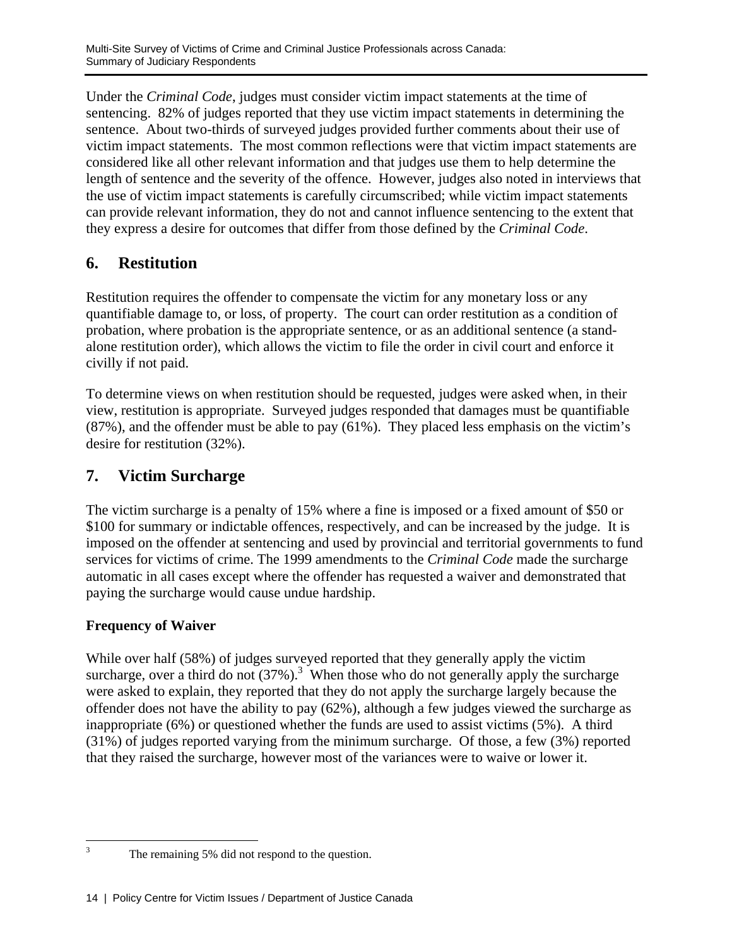Under the *Criminal Code*, judges must consider victim impact statements at the time of sentencing. 82% of judges reported that they use victim impact statements in determining the sentence. About two-thirds of surveyed judges provided further comments about their use of victim impact statements. The most common reflections were that victim impact statements are considered like all other relevant information and that judges use them to help determine the length of sentence and the severity of the offence. However, judges also noted in interviews that the use of victim impact statements is carefully circumscribed; while victim impact statements can provide relevant information, they do not and cannot influence sentencing to the extent that they express a desire for outcomes that differ from those defined by the *Criminal Code*.

# **6. Restitution**

Restitution requires the offender to compensate the victim for any monetary loss or any quantifiable damage to, or loss, of property. The court can order restitution as a condition of probation, where probation is the appropriate sentence, or as an additional sentence (a standalone restitution order), which allows the victim to file the order in civil court and enforce it civilly if not paid.

To determine views on when restitution should be requested, judges were asked when, in their view, restitution is appropriate. Surveyed judges responded that damages must be quantifiable  $(87%)$ , and the offender must be able to pay  $(61%)$ . They placed less emphasis on the victim's desire for restitution (32%).

# **7. Victim Surcharge**

The victim surcharge is a penalty of 15% where a fine is imposed or a fixed amount of \$50 or \$100 for summary or indictable offences, respectively, and can be increased by the judge. It is imposed on the offender at sentencing and used by provincial and territorial governments to fund services for victims of crime. The 1999 amendments to the *Criminal Code* made the surcharge automatic in all cases except where the offender has requested a waiver and demonstrated that paying the surcharge would cause undue hardship.

## **Frequency of Waiver**

While over half (58%) of judges surveyed reported that they generally apply the victim surcharge, over a third do not  $(37%)$ .<sup>3</sup> When those who do not generally apply the surcharge were asked to explain, they reported that they do not apply the surcharge largely because the offender does not have the ability to pay (62%), although a few judges viewed the surcharge as inappropriate (6%) or questioned whether the funds are used to assist victims (5%). A third (31%) of judges reported varying from the minimum surcharge. Of those, a few (3%) reported that they raised the surcharge, however most of the variances were to waive or lower it.

 $\frac{1}{3}$ 

The remaining 5% did not respond to the question.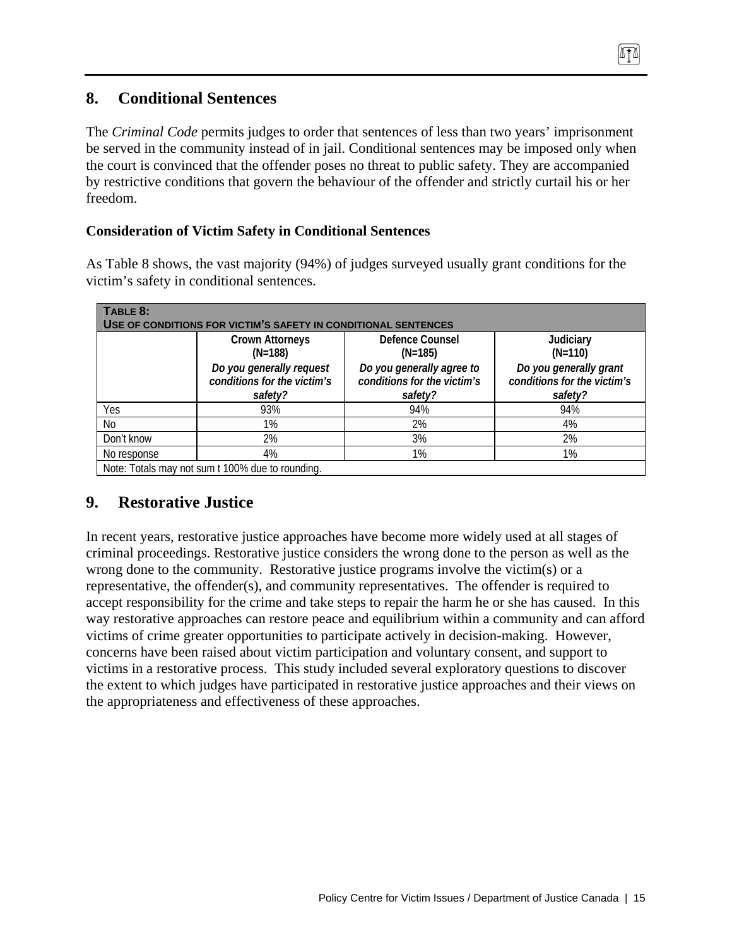# **8. Conditional Sentences**

The *Criminal Code* permits judges to order that sentences of less than two years' imprisonment be served in the community instead of in jail. Conditional sentences may be imposed only when the court is convinced that the offender poses no threat to public safety. They are accompanied by restrictive conditions that govern the behaviour of the offender and strictly curtail his or her freedom.

ITT

### **Consideration of Victim Safety in Conditional Sentences**

As Table 8 shows, the vast majority (94%) of judges surveyed usually grant conditions for the victim's safety in conditional sentences.

| TABLE 8:<br>USE OF CONDITIONS FOR VICTIM'S SAFETY IN CONDITIONAL SENTENCES |                                                                    |                                                                     |                                                                  |  |  |  |  |  |
|----------------------------------------------------------------------------|--------------------------------------------------------------------|---------------------------------------------------------------------|------------------------------------------------------------------|--|--|--|--|--|
|                                                                            | <b>Crown Attorneys</b><br>$(N=188)$                                | Defence Counsel<br>$(N=185)$                                        | Judiciary<br>$(N=110)$                                           |  |  |  |  |  |
|                                                                            | Do you generally request<br>conditions for the victim's<br>safety? | Do you generally agree to<br>conditions for the victim's<br>safety? | Do you generally grant<br>conditions for the victim's<br>safety? |  |  |  |  |  |
| Yes                                                                        | 93%                                                                | 94%                                                                 | 94%                                                              |  |  |  |  |  |
| No                                                                         | 1%                                                                 | 2%                                                                  | 4%                                                               |  |  |  |  |  |
| Don't know                                                                 | 2%                                                                 | 3%                                                                  | 2%                                                               |  |  |  |  |  |
| No response                                                                | 4%                                                                 | 1%                                                                  | 1%                                                               |  |  |  |  |  |
|                                                                            | Note: Totals may not sum t 100% due to rounding.                   |                                                                     |                                                                  |  |  |  |  |  |

# **9. Restorative Justice**

In recent years, restorative justice approaches have become more widely used at all stages of criminal proceedings. Restorative justice considers the wrong done to the person as well as the wrong done to the community. Restorative justice programs involve the victim(s) or a representative, the offender(s), and community representatives. The offender is required to accept responsibility for the crime and take steps to repair the harm he or she has caused. In this way restorative approaches can restore peace and equilibrium within a community and can afford victims of crime greater opportunities to participate actively in decision-making. However, concerns have been raised about victim participation and voluntary consent, and support to victims in a restorative process. This study included several exploratory questions to discover the extent to which judges have participated in restorative justice approaches and their views on the appropriateness and effectiveness of these approaches.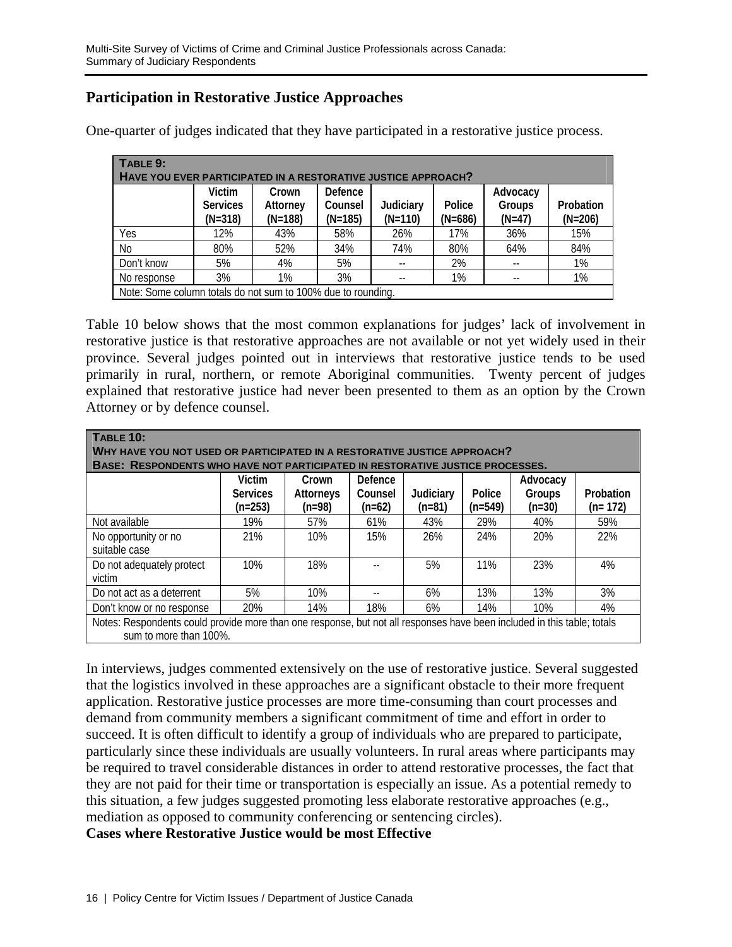# **Participation in Restorative Justice Approaches**

| TABLE 9:<br>HAVE YOU EVER PARTICIPATED IN A RESTORATIVE JUSTICE APPROACH? |                                                              |                                |                                 |                        |                     |                                |                        |  |  |
|---------------------------------------------------------------------------|--------------------------------------------------------------|--------------------------------|---------------------------------|------------------------|---------------------|--------------------------------|------------------------|--|--|
|                                                                           | Victim<br><b>Services</b><br>$(N=318)$                       | Crown<br>Attorney<br>$(N=188)$ | Defence<br>Counsel<br>$(N=185)$ | Judiciary<br>$(N=110)$ | Police<br>$(N=686)$ | Advocacy<br>Groups<br>$(N=47)$ | Probation<br>$(N=206)$ |  |  |
| Yes                                                                       | 12%                                                          | 43%                            | 58%                             | 26%                    | 17%                 | 36%                            | 15%                    |  |  |
| N <sub>0</sub>                                                            | 80%                                                          | 52%                            | 34%                             | 74%                    | 80%                 | 64%                            | 84%                    |  |  |
| Don't know                                                                | 5%                                                           | 4%                             | 5%                              |                        | 2%                  |                                | 1%                     |  |  |
| No response                                                               | 3%                                                           | 1%                             | 3%                              |                        | 1%                  |                                | 1%                     |  |  |
|                                                                           | Note: Some column totals do not sum to 100% due to rounding. |                                |                                 |                        |                     |                                |                        |  |  |

One-quarter of judges indicated that they have participated in a restorative justice process.

Table 10 below shows that the most common explanations for judges' lack of involvement in restorative justice is that restorative approaches are not available or not yet widely used in their province. Several judges pointed out in interviews that restorative justice tends to be used primarily in rural, northern, or remote Aboriginal communities. Twenty percent of judges explained that restorative justice had never been presented to them as an option by the Crown Attorney or by defence counsel.

| <b>TABLE 10:</b><br>WHY HAVE YOU NOT USED OR PARTICIPATED IN A RESTORATIVE JUSTICE APPROACH?<br>BASE: RESPONDENTS WHO HAVE NOT PARTICIPATED IN RESTORATIVE JUSTICE PROCESSES. |                           |                    |                    |           |           |                    |           |
|-------------------------------------------------------------------------------------------------------------------------------------------------------------------------------|---------------------------|--------------------|--------------------|-----------|-----------|--------------------|-----------|
|                                                                                                                                                                               | Victim<br><b>Services</b> | Crown<br>Attorneys | Defence<br>Counsel | Judiciary | Police    | Advocacy<br>Groups | Probation |
|                                                                                                                                                                               | $(n=253)$                 | $(n=98)$           | $(n=62)$           | $(n=81)$  | $(n=549)$ | $(n=30)$           | $(n=172)$ |
| Not available                                                                                                                                                                 | 19%                       | 57%                | 61%                | 43%       | 29%       | 40%                | 59%       |
| No opportunity or no<br>suitable case                                                                                                                                         | 21%                       | 10%                | 15%                | 26%       | 24%       | 20%                | 22%       |
| Do not adequately protect<br>victim                                                                                                                                           | 10%                       | 18%                |                    | 5%        | 11%       | 23%                | 4%        |
| Do not act as a deterrent                                                                                                                                                     | 5%                        | 10%                |                    | 6%        | 13%       | 13%                | 3%        |
| Don't know or no response                                                                                                                                                     | 20%                       | 14%                | 18%                | 6%        | 14%       | 10%                | 4%        |
| Notes: Respondents could provide more than one response, but not all responses have been included in this table; totals<br>sum to more than 100%.                             |                           |                    |                    |           |           |                    |           |

In interviews, judges commented extensively on the use of restorative justice. Several suggested that the logistics involved in these approaches are a significant obstacle to their more frequent application. Restorative justice processes are more time-consuming than court processes and demand from community members a significant commitment of time and effort in order to succeed. It is often difficult to identify a group of individuals who are prepared to participate, particularly since these individuals are usually volunteers. In rural areas where participants may be required to travel considerable distances in order to attend restorative processes, the fact that they are not paid for their time or transportation is especially an issue. As a potential remedy to this situation, a few judges suggested promoting less elaborate restorative approaches (e.g., mediation as opposed to community conferencing or sentencing circles).

**Cases where Restorative Justice would be most Effective**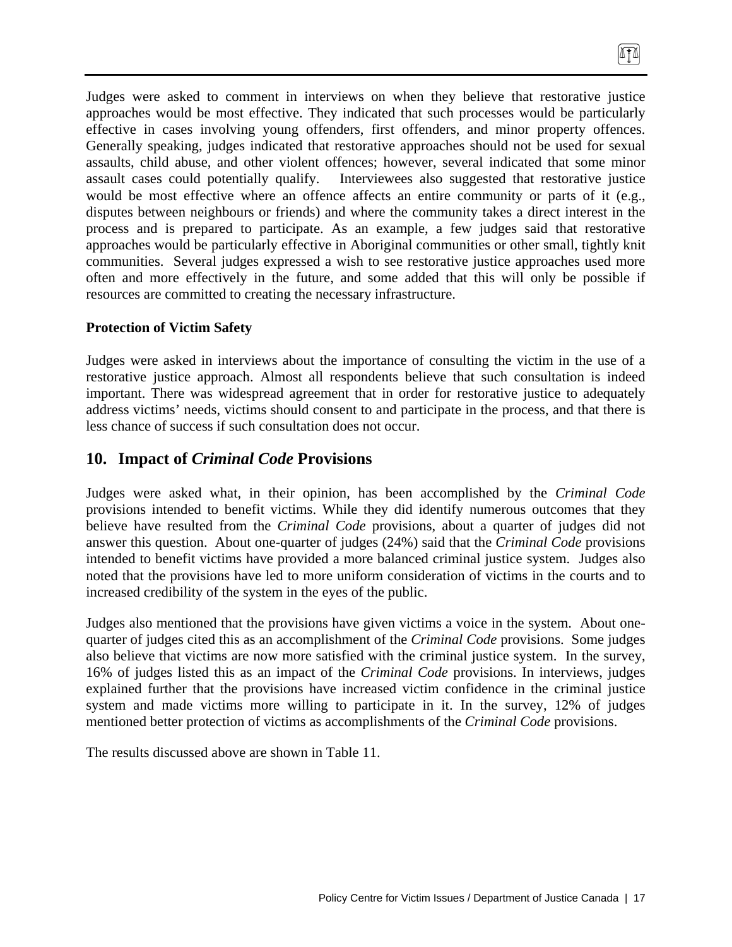Judges were asked to comment in interviews on when they believe that restorative justice approaches would be most effective. They indicated that such processes would be particularly effective in cases involving young offenders, first offenders, and minor property offences. Generally speaking, judges indicated that restorative approaches should not be used for sexual assaults, child abuse, and other violent offences; however, several indicated that some minor assault cases could potentially qualify. Interviewees also suggested that restorative justice would be most effective where an offence affects an entire community or parts of it (e.g., disputes between neighbours or friends) and where the community takes a direct interest in the process and is prepared to participate. As an example, a few judges said that restorative approaches would be particularly effective in Aboriginal communities or other small, tightly knit communities. Several judges expressed a wish to see restorative justice approaches used more often and more effectively in the future, and some added that this will only be possible if resources are committed to creating the necessary infrastructure.

### **Protection of Victim Safety**

Judges were asked in interviews about the importance of consulting the victim in the use of a restorative justice approach. Almost all respondents believe that such consultation is indeed important. There was widespread agreement that in order for restorative justice to adequately address victims' needs, victims should consent to and participate in the process, and that there is less chance of success if such consultation does not occur.

# **10. Impact of** *Criminal Code* **Provisions**

Judges were asked what, in their opinion, has been accomplished by the *Criminal Code*  provisions intended to benefit victims. While they did identify numerous outcomes that they believe have resulted from the *Criminal Code* provisions, about a quarter of judges did not answer this question. About one-quarter of judges (24%) said that the *Criminal Code* provisions intended to benefit victims have provided a more balanced criminal justice system. Judges also noted that the provisions have led to more uniform consideration of victims in the courts and to increased credibility of the system in the eyes of the public.

Judges also mentioned that the provisions have given victims a voice in the system. About onequarter of judges cited this as an accomplishment of the *Criminal Code* provisions. Some judges also believe that victims are now more satisfied with the criminal justice system. In the survey, 16% of judges listed this as an impact of the *Criminal Code* provisions. In interviews, judges explained further that the provisions have increased victim confidence in the criminal justice system and made victims more willing to participate in it. In the survey, 12% of judges mentioned better protection of victims as accomplishments of the *Criminal Code* provisions.

The results discussed above are shown in Table 11.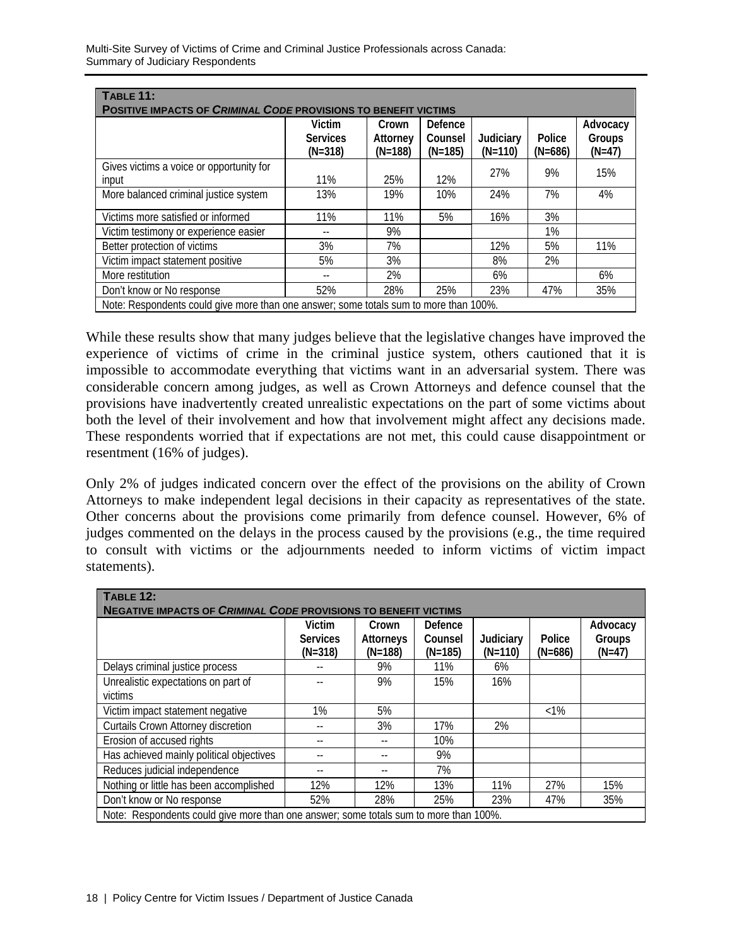| TABLE 11:<br><b>POSITIVE IMPACTS OF CRIMINAL CODE PROVISIONS TO BENEFIT VICTIMS</b>   |                                        |                                |                                 |                        |                     |                                |  |
|---------------------------------------------------------------------------------------|----------------------------------------|--------------------------------|---------------------------------|------------------------|---------------------|--------------------------------|--|
|                                                                                       | Victim<br><b>Services</b><br>$(N=318)$ | Crown<br>Attorney<br>$(N=188)$ | Defence<br>Counsel<br>$(N=185)$ | Judiciary<br>$(N=110)$ | Police<br>$(N=686)$ | Advocacy<br>Groups<br>$(N=47)$ |  |
| Gives victims a voice or opportunity for<br>input                                     | 11%                                    | 25%                            | 12%                             | 27%                    | 9%                  | 15%                            |  |
| More balanced criminal justice system                                                 | 13%                                    | 19%                            | 10%                             | 24%                    | 7%                  | 4%                             |  |
| Victims more satisfied or informed                                                    | 11%                                    | 11%                            | 5%                              | 16%                    | 3%                  |                                |  |
| Victim testimony or experience easier                                                 |                                        | 9%                             |                                 |                        | 1%                  |                                |  |
| Better protection of victims                                                          | 3%                                     | 7%                             |                                 | 12%                    | 5%                  | 11%                            |  |
| Victim impact statement positive                                                      | 5%                                     | 3%                             |                                 | 8%                     | 2%                  |                                |  |
| More restitution                                                                      |                                        | 2%                             |                                 | 6%                     |                     | 6%                             |  |
| Don't know or No response                                                             | 52%                                    | 28%                            | 25%                             | 23%                    | 47%                 | 35%                            |  |
| Note: Respondents could give more than one answer; some totals sum to more than 100%. |                                        |                                |                                 |                        |                     |                                |  |

While these results show that many judges believe that the legislative changes have improved the experience of victims of crime in the criminal justice system, others cautioned that it is impossible to accommodate everything that victims want in an adversarial system. There was considerable concern among judges, as well as Crown Attorneys and defence counsel that the provisions have inadvertently created unrealistic expectations on the part of some victims about both the level of their involvement and how that involvement might affect any decisions made. These respondents worried that if expectations are not met, this could cause disappointment or resentment (16% of judges).

Only 2% of judges indicated concern over the effect of the provisions on the ability of Crown Attorneys to make independent legal decisions in their capacity as representatives of the state. Other concerns about the provisions come primarily from defence counsel. However, 6% of judges commented on the delays in the process caused by the provisions (e.g., the time required to consult with victims or the adjournments needed to inform victims of victim impact statements).

| <b>TABLE 12:</b>                                                                      |                                        |                                 |                                 |                        |                     |                                |
|---------------------------------------------------------------------------------------|----------------------------------------|---------------------------------|---------------------------------|------------------------|---------------------|--------------------------------|
| <b>NEGATIVE IMPACTS OF CRIMINAL CODE PROVISIONS TO BENEFIT VICTIMS</b>                |                                        |                                 |                                 |                        |                     |                                |
|                                                                                       | Victim<br><b>Services</b><br>$(N=318)$ | Crown<br>Attorneys<br>$(N=188)$ | Defence<br>Counsel<br>$(N=185)$ | Judiciary<br>$(N=110)$ | Police<br>$(N=686)$ | Advocacy<br>Groups<br>$(N=47)$ |
| Delays criminal justice process                                                       |                                        | 9%                              | 11%                             | 6%                     |                     |                                |
| Unrealistic expectations on part of                                                   |                                        | 9%                              | 15%                             | 16%                    |                     |                                |
| victims                                                                               |                                        |                                 |                                 |                        |                     |                                |
| Victim impact statement negative                                                      | 1%                                     | 5%                              |                                 |                        | $< 1\%$             |                                |
| <b>Curtails Crown Attorney discretion</b>                                             | --                                     | 3%                              | 17%                             | 2%                     |                     |                                |
| Erosion of accused rights                                                             | --                                     |                                 | 10%                             |                        |                     |                                |
| Has achieved mainly political objectives                                              | $- -$                                  |                                 | 9%                              |                        |                     |                                |
| Reduces judicial independence                                                         | $-$                                    |                                 | 7%                              |                        |                     |                                |
| Nothing or little has been accomplished                                               | 12%                                    | 12%                             | 13%                             | 11%                    | 27%                 | 15%                            |
| Don't know or No response                                                             | 52%                                    | 28%                             | 25%                             | 23%                    | 47%                 | 35%                            |
| Note: Respondents could give more than one answer; some totals sum to more than 100%. |                                        |                                 |                                 |                        |                     |                                |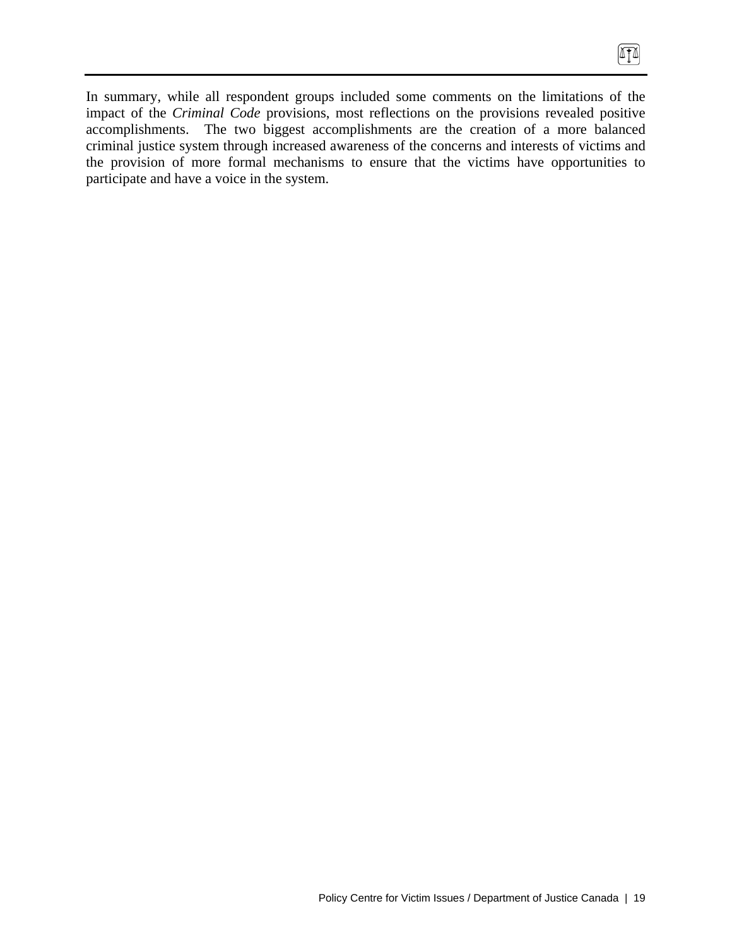In summary, while all respondent groups included some comments on the limitations of the impact of the *Criminal Code* provisions, most reflections on the provisions revealed positive accomplishments. The two biggest accomplishments are the creation of a more balanced criminal justice system through increased awareness of the concerns and interests of victims and the provision of more formal mechanisms to ensure that the victims have opportunities to participate and have a voice in the system.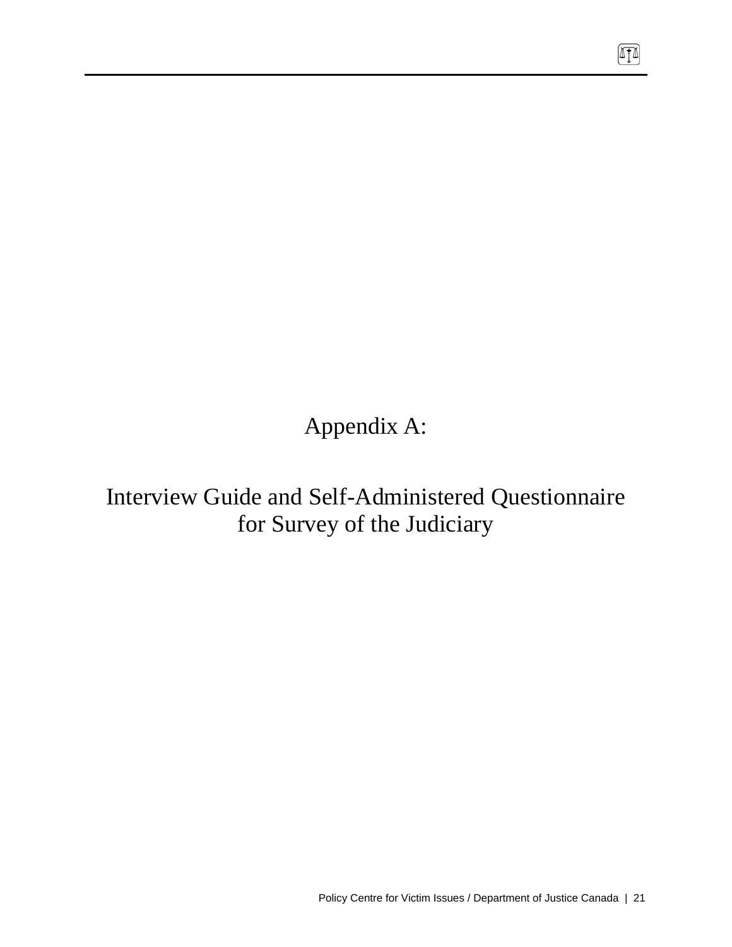Appendix A:

Interview Guide and Self-Administered Questionnaire for Survey of the Judiciary

 $\boxed{\mathbb{T}}$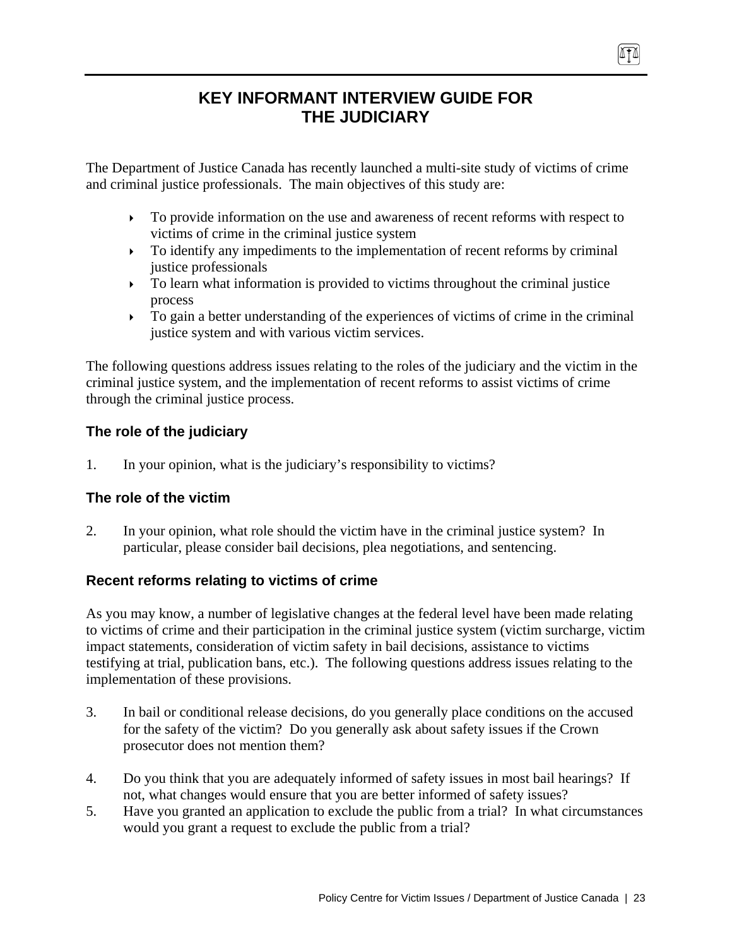# **KEY INFORMANT INTERVIEW GUIDE FOR THE JUDICIARY**

474

The Department of Justice Canada has recently launched a multi-site study of victims of crime and criminal justice professionals. The main objectives of this study are:

- $\triangleright$  To provide information on the use and awareness of recent reforms with respect to victims of crime in the criminal justice system
- $\triangleright$  To identify any impediments to the implementation of recent reforms by criminal justice professionals
- $\triangleright$  To learn what information is provided to victims throughout the criminal justice process
- $\triangleright$  To gain a better understanding of the experiences of victims of crime in the criminal justice system and with various victim services.

The following questions address issues relating to the roles of the judiciary and the victim in the criminal justice system, and the implementation of recent reforms to assist victims of crime through the criminal justice process.

## **The role of the judiciary**

1. In your opinion, what is the judiciary's responsibility to victims?

## **The role of the victim**

2. In your opinion, what role should the victim have in the criminal justice system? In particular, please consider bail decisions, plea negotiations, and sentencing.

## **Recent reforms relating to victims of crime**

As you may know, a number of legislative changes at the federal level have been made relating to victims of crime and their participation in the criminal justice system (victim surcharge, victim impact statements, consideration of victim safety in bail decisions, assistance to victims testifying at trial, publication bans, etc.). The following questions address issues relating to the implementation of these provisions.

- 3. In bail or conditional release decisions, do you generally place conditions on the accused for the safety of the victim? Do you generally ask about safety issues if the Crown prosecutor does not mention them?
- 4. Do you think that you are adequately informed of safety issues in most bail hearings? If not, what changes would ensure that you are better informed of safety issues?
- 5. Have you granted an application to exclude the public from a trial? In what circumstances would you grant a request to exclude the public from a trial?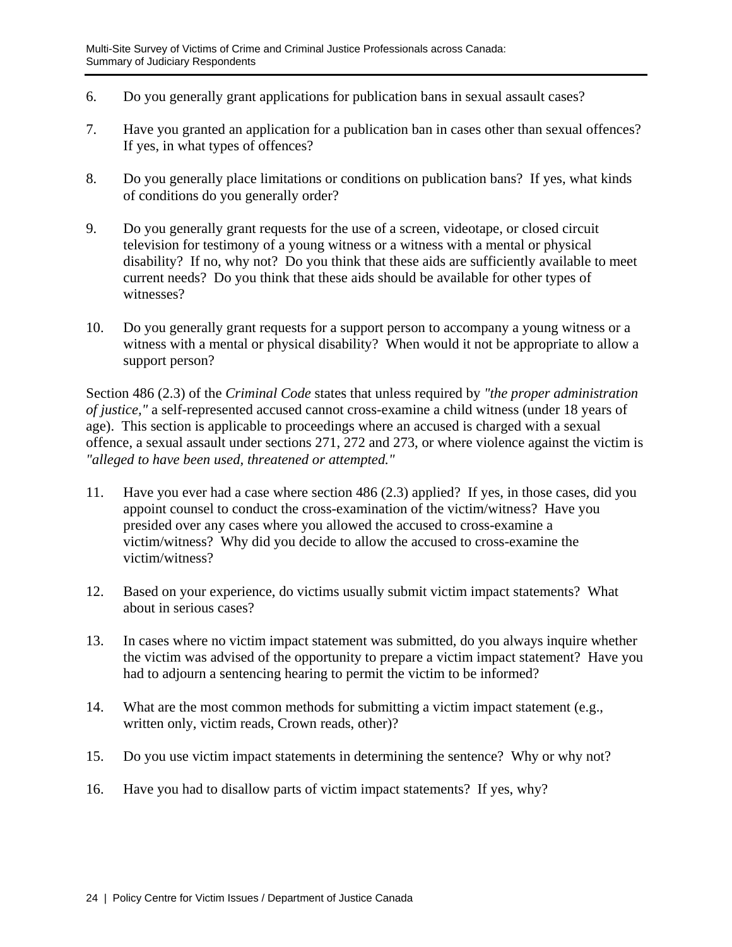- 6. Do you generally grant applications for publication bans in sexual assault cases?
- 7. Have you granted an application for a publication ban in cases other than sexual offences? If yes, in what types of offences?
- 8. Do you generally place limitations or conditions on publication bans? If yes, what kinds of conditions do you generally order?
- 9. Do you generally grant requests for the use of a screen, videotape, or closed circuit television for testimony of a young witness or a witness with a mental or physical disability? If no, why not? Do you think that these aids are sufficiently available to meet current needs? Do you think that these aids should be available for other types of witnesses?
- 10. Do you generally grant requests for a support person to accompany a young witness or a witness with a mental or physical disability? When would it not be appropriate to allow a support person?

Section 486 (2.3) of the *Criminal Code* states that unless required by *"the proper administration of justice,"* a self-represented accused cannot cross-examine a child witness (under 18 years of age). This section is applicable to proceedings where an accused is charged with a sexual offence, a sexual assault under sections 271, 272 and 273, or where violence against the victim is *"alleged to have been used, threatened or attempted."*

- 11. Have you ever had a case where section 486 (2.3) applied? If yes, in those cases, did you appoint counsel to conduct the cross-examination of the victim/witness? Have you presided over any cases where you allowed the accused to cross-examine a victim/witness? Why did you decide to allow the accused to cross-examine the victim/witness?
- 12. Based on your experience, do victims usually submit victim impact statements? What about in serious cases?
- 13. In cases where no victim impact statement was submitted, do you always inquire whether the victim was advised of the opportunity to prepare a victim impact statement? Have you had to adjourn a sentencing hearing to permit the victim to be informed?
- 14. What are the most common methods for submitting a victim impact statement (e.g., written only, victim reads, Crown reads, other)?
- 15. Do you use victim impact statements in determining the sentence? Why or why not?
- 16. Have you had to disallow parts of victim impact statements? If yes, why?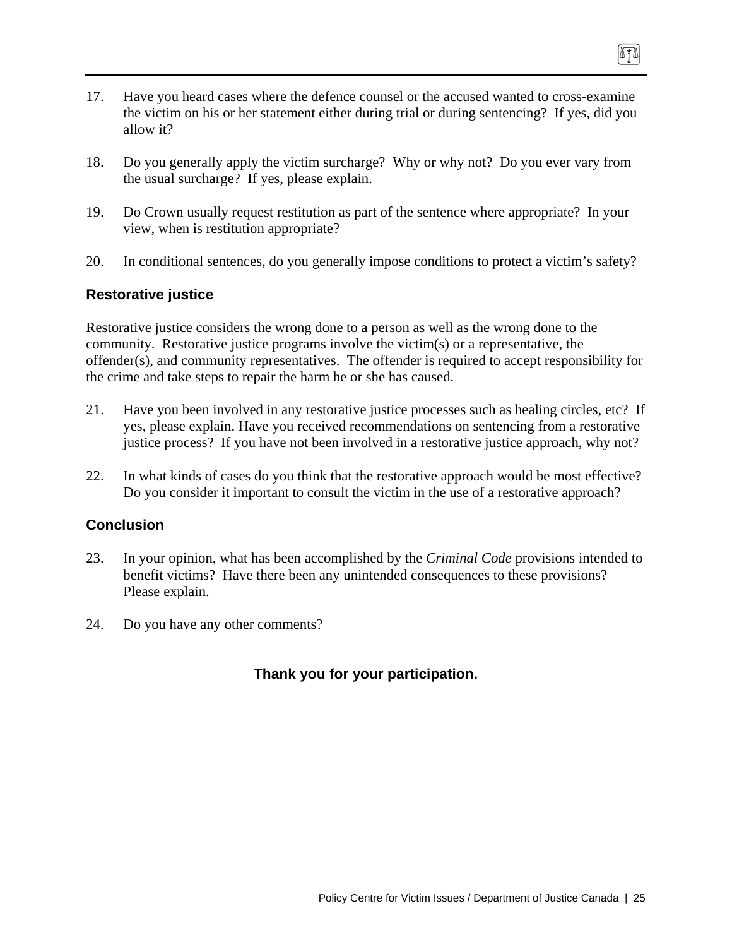- 17. Have you heard cases where the defence counsel or the accused wanted to cross-examine the victim on his or her statement either during trial or during sentencing? If yes, did you allow it?
- 18. Do you generally apply the victim surcharge? Why or why not? Do you ever vary from the usual surcharge? If yes, please explain.
- 19. Do Crown usually request restitution as part of the sentence where appropriate? In your view, when is restitution appropriate?
- 20. In conditional sentences, do you generally impose conditions to protect a victim's safety?

### **Restorative justice**

Restorative justice considers the wrong done to a person as well as the wrong done to the community. Restorative justice programs involve the victim(s) or a representative, the offender(s), and community representatives. The offender is required to accept responsibility for the crime and take steps to repair the harm he or she has caused.

- 21. Have you been involved in any restorative justice processes such as healing circles, etc? If yes, please explain. Have you received recommendations on sentencing from a restorative justice process? If you have not been involved in a restorative justice approach, why not?
- 22. In what kinds of cases do you think that the restorative approach would be most effective? Do you consider it important to consult the victim in the use of a restorative approach?

### **Conclusion**

- 23. In your opinion, what has been accomplished by the *Criminal Code* provisions intended to benefit victims? Have there been any unintended consequences to these provisions? Please explain.
- 24. Do you have any other comments?

## **Thank you for your participation.**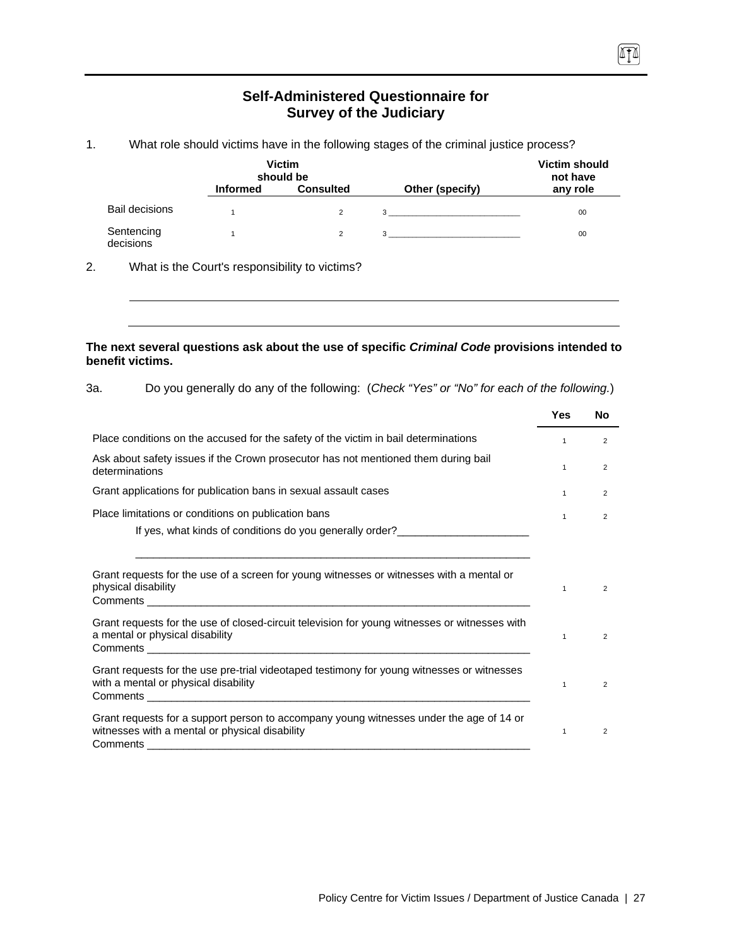### **Self-Administered Questionnaire for Survey of the Judiciary**

 $\sqrt{10}$ 

#### 1. What role should victims have in the following stages of the criminal justice process?

|                         |                 | <b>Victim</b><br>should be |                                | <b>Victim should</b><br>not have |
|-------------------------|-----------------|----------------------------|--------------------------------|----------------------------------|
|                         | <b>Informed</b> | <b>Consulted</b>           | Other (specify)                | any role                         |
| <b>Bail decisions</b>   |                 | 2                          | $3 \overline{3}$               | 00                               |
| Sentencing<br>decisions |                 | 2                          | $3 \left( \frac{1}{2} \right)$ | 00                               |

2. What is the Court's responsibility to victims?

#### **The next several questions ask about the use of specific** *Criminal Code* **provisions intended to benefit victims.**

| 3а. | Do you generally do any of the following: (Check "Yes" or "No" for each of the following.) |  |  |  |
|-----|--------------------------------------------------------------------------------------------|--|--|--|
|-----|--------------------------------------------------------------------------------------------|--|--|--|

|                                                                                                                                                       | Yes          | No             |
|-------------------------------------------------------------------------------------------------------------------------------------------------------|--------------|----------------|
| Place conditions on the accused for the safety of the victim in bail determinations                                                                   | $\mathbf{1}$ | $\overline{2}$ |
| Ask about safety issues if the Crown prosecutor has not mentioned them during bail<br>determinations                                                  | 1            | $\overline{2}$ |
| Grant applications for publication bans in sexual assault cases                                                                                       | $\mathbf{1}$ | 2              |
| Place limitations or conditions on publication bans                                                                                                   | $\mathbf{1}$ | 2              |
| Grant requests for the use of a screen for young witnesses or witnesses with a mental or<br>physical disability                                       | 1            | 2              |
| Grant requests for the use of closed-circuit television for young witnesses or witnesses with<br>a mental or physical disability                      | $\mathbf{1}$ | 2              |
| Grant requests for the use pre-trial videotaped testimony for young witnesses or witnesses<br>with a mental or physical disability                    | $\mathbf{1}$ | 2              |
| Grant requests for a support person to accompany young witnesses under the age of 14 or<br>witnesses with a mental or physical disability<br>Comments | 1            | 2              |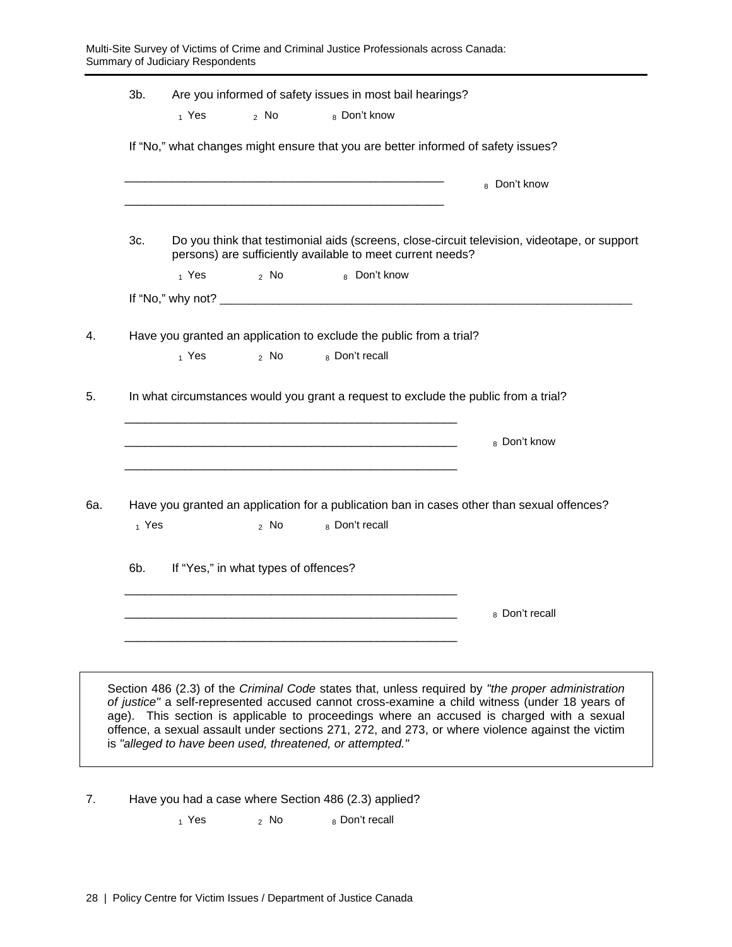|     | $3b$ . | $1$ Yes | 2 NQ                                 | Are you informed of safety issues in most bail hearings?<br>8 Don't know              |                                                                                                                                                                                                                                                                                                                                                                                                      |
|-----|--------|---------|--------------------------------------|---------------------------------------------------------------------------------------|------------------------------------------------------------------------------------------------------------------------------------------------------------------------------------------------------------------------------------------------------------------------------------------------------------------------------------------------------------------------------------------------------|
|     |        |         |                                      | If "No," what changes might ensure that you are better informed of safety issues?     |                                                                                                                                                                                                                                                                                                                                                                                                      |
|     |        |         |                                      |                                                                                       | 8 Don't know                                                                                                                                                                                                                                                                                                                                                                                         |
|     | 3c.    |         |                                      | persons) are sufficiently available to meet current needs?                            | Do you think that testimonial aids (screens, close-circuit television, videotape, or support                                                                                                                                                                                                                                                                                                         |
|     |        | 1 Yes   | $2$ No                               | 8 Don't know                                                                          |                                                                                                                                                                                                                                                                                                                                                                                                      |
|     |        |         |                                      |                                                                                       |                                                                                                                                                                                                                                                                                                                                                                                                      |
| 4.  |        | 1 Yes   | 2 NQ                                 | Have you granted an application to exclude the public from a trial?<br>8 Don't recall |                                                                                                                                                                                                                                                                                                                                                                                                      |
| 5.  |        |         |                                      | In what circumstances would you grant a request to exclude the public from a trial?   |                                                                                                                                                                                                                                                                                                                                                                                                      |
|     |        |         |                                      |                                                                                       | 8 Don't know                                                                                                                                                                                                                                                                                                                                                                                         |
| 6а. | 1 Yes  |         | 2 NQ                                 | 8 Don't recall                                                                        | Have you granted an application for a publication ban in cases other than sexual offences?                                                                                                                                                                                                                                                                                                           |
|     | 6b.    |         | If "Yes," in what types of offences? |                                                                                       |                                                                                                                                                                                                                                                                                                                                                                                                      |
|     |        |         |                                      |                                                                                       | 8 Don't recall                                                                                                                                                                                                                                                                                                                                                                                       |
|     |        |         |                                      |                                                                                       |                                                                                                                                                                                                                                                                                                                                                                                                      |
|     |        |         |                                      | is "alleged to have been used, threatened, or attempted."                             | Section 486 (2.3) of the Criminal Code states that, unless required by "the proper administration<br>of justice" a self-represented accused cannot cross-examine a child witness (under 18 years of<br>age). This section is applicable to proceedings where an accused is charged with a sexual<br>offence, a sexual assault under sections 271, 272, and 273, or where violence against the victim |
|     |        |         |                                      |                                                                                       |                                                                                                                                                                                                                                                                                                                                                                                                      |

7. Have you had a case where Section 486 (2.3) applied?

 $1$  Yes  $2$  No  $8$  Don't recall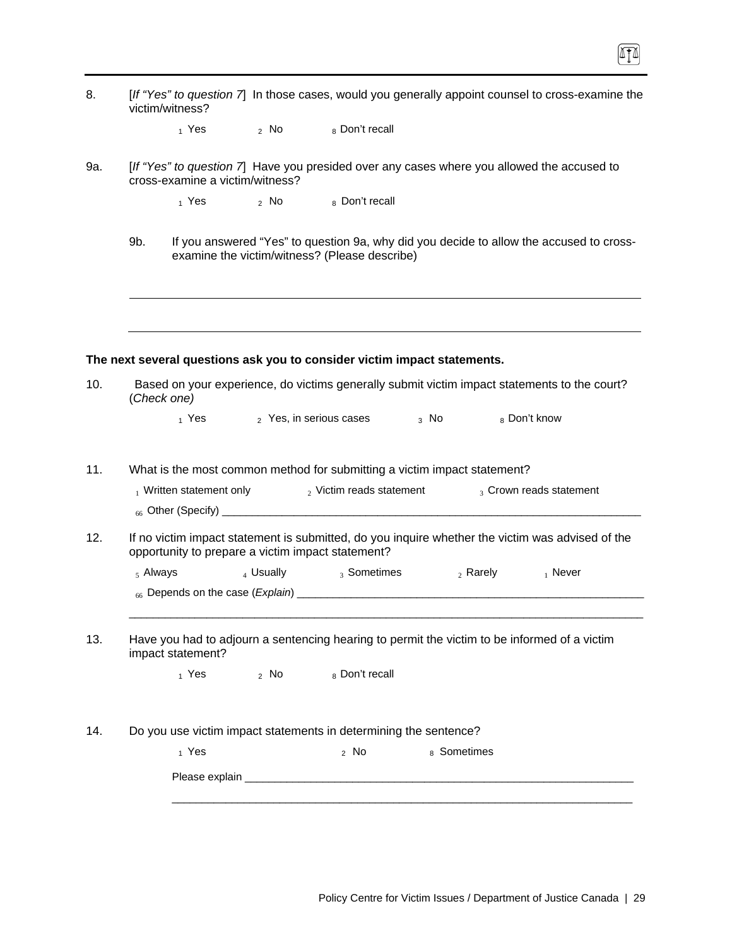| 8.  | [If "Yes" to question 7] In those cases, would you generally appoint counsel to cross-examine the<br>victim/witness?                                              |
|-----|-------------------------------------------------------------------------------------------------------------------------------------------------------------------|
|     | 2 No 8 Don't recall<br>$_1$ Yes                                                                                                                                   |
| 9a. | [If "Yes" to question 7] Have you presided over any cases where you allowed the accused to<br>cross-examine a victim/witness?                                     |
|     | $_1$ Yes $_2$ No $_8$ Don't recall                                                                                                                                |
|     | If you answered "Yes" to question 9a, why did you decide to allow the accused to cross-<br>9b.<br>examine the victim/witness? (Please describe)                   |
|     |                                                                                                                                                                   |
|     | The next several questions ask you to consider victim impact statements.                                                                                          |
| 10. | Based on your experience, do victims generally submit victim impact statements to the court?<br>(Check one)                                                       |
|     | 1 Yes 2 Yes, in serious cases 3 No<br>8 Don't know                                                                                                                |
| 11. | What is the most common method for submitting a victim impact statement?<br>$_2$ Victim reads statement<br>$_1$ Written statement only<br>3 Crown reads statement |
| 12. | If no victim impact statement is submitted, do you inquire whether the victim was advised of the                                                                  |
|     | opportunity to prepare a victim impact statement?                                                                                                                 |
|     | $_4$ Usually $_3$ Sometimes<br>$5$ Always<br>$_2$ Rarely $_1$ Never                                                                                               |
|     |                                                                                                                                                                   |
| 13. | Have you had to adjourn a sentencing hearing to permit the victim to be informed of a victim<br>impact statement?                                                 |
|     | $_1$ Yes $_2$ No<br>8 Don't recall                                                                                                                                |
| 14. | Do you use victim impact statements in determining the sentence?                                                                                                  |
|     | 8 Sometimes<br>$_1$ Yes<br>$2$ No                                                                                                                                 |
|     |                                                                                                                                                                   |
|     |                                                                                                                                                                   |

 $\Pi$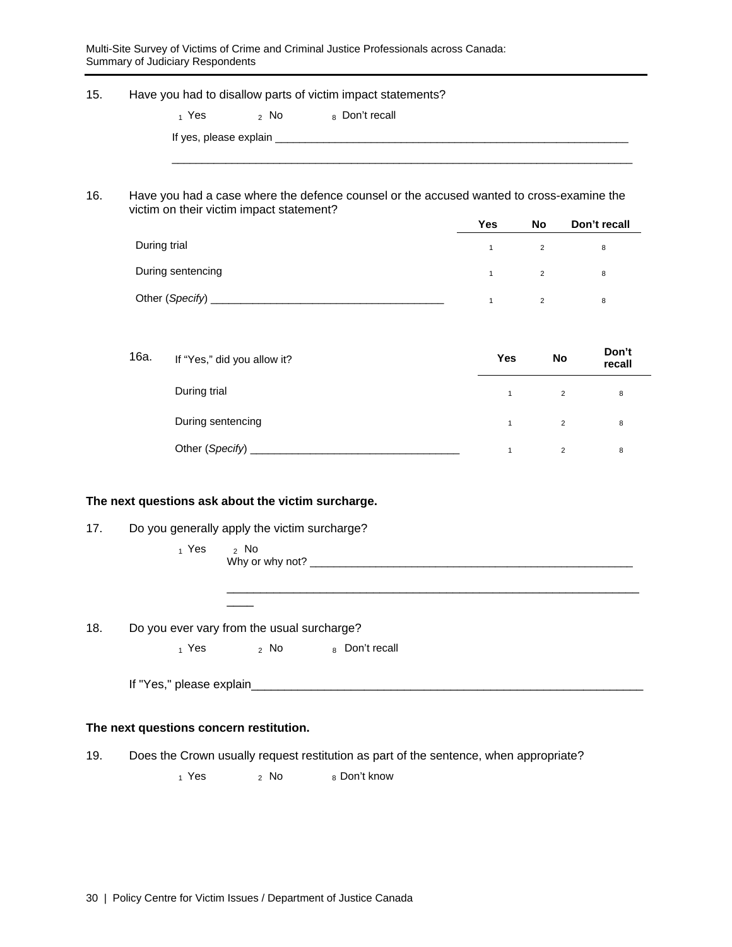Multi-Site Survey of Victims of Crime and Criminal Justice Professionals across Canada: Summary of Judiciary Respondents

| 15. | Have you had to disallow parts of victim impact statements?                              |                   |                |              |                |                 |
|-----|------------------------------------------------------------------------------------------|-------------------|----------------|--------------|----------------|-----------------|
|     | $_1$ Yes                                                                                 | $2$ No            | 8 Don't recall |              |                |                 |
|     |                                                                                          |                   |                |              |                |                 |
|     |                                                                                          |                   |                |              |                |                 |
| 16. | Have you had a case where the defence counsel or the accused wanted to cross-examine the |                   |                |              |                |                 |
|     | victim on their victim impact statement?                                                 |                   |                | <b>Yes</b>   | No             | Don't recall    |
|     | During trial                                                                             |                   |                | $\mathbf{1}$ | $\overline{2}$ | 8               |
|     | During sentencing                                                                        |                   |                | $\mathbf{1}$ | $\overline{2}$ | 8               |
|     |                                                                                          |                   |                | $\mathbf{1}$ | $\overline{2}$ | 8               |
|     |                                                                                          |                   |                |              |                |                 |
|     | 16a.<br>If "Yes," did you allow it?                                                      |                   |                | Yes          | No             | Don't<br>recall |
|     | During trial                                                                             |                   |                | $\mathbf{1}$ | $\overline{2}$ | 8               |
|     | During sentencing                                                                        |                   |                | $\mathbf{1}$ | $\overline{2}$ | 8               |
|     |                                                                                          |                   |                | $\mathbf{1}$ | $\overline{2}$ | 8               |
|     |                                                                                          |                   |                |              |                |                 |
|     | The next questions ask about the victim surcharge.                                       |                   |                |              |                |                 |
| 17. | Do you generally apply the victim surcharge?                                             |                   |                |              |                |                 |
|     | $_1$ Yes<br>$2$ No                                                                       | Why or why not? _ |                |              |                |                 |

\_\_\_\_\_\_\_\_\_\_\_\_\_\_\_\_\_\_\_\_\_\_\_\_\_\_\_\_\_\_\_\_\_\_\_\_\_\_\_\_\_\_\_\_\_\_\_\_\_\_\_\_\_\_\_\_\_\_\_\_\_\_

18. Do you ever vary from the usual surcharge?

 $_1$  Yes  $_2$  No  $_8$  Don't recall

If "Yes," please explain\_\_\_\_\_\_\_\_\_\_\_\_\_\_\_\_\_\_\_\_\_\_\_\_\_\_\_\_\_\_\_\_\_\_\_\_\_\_\_\_\_\_\_\_\_\_\_\_\_\_\_\_\_\_\_\_\_\_\_

#### **The next questions concern restitution.**

19. Does the Crown usually request restitution as part of the sentence, when appropriate?

 $_1$  Yes  $_2$  No  $_8$  Don't know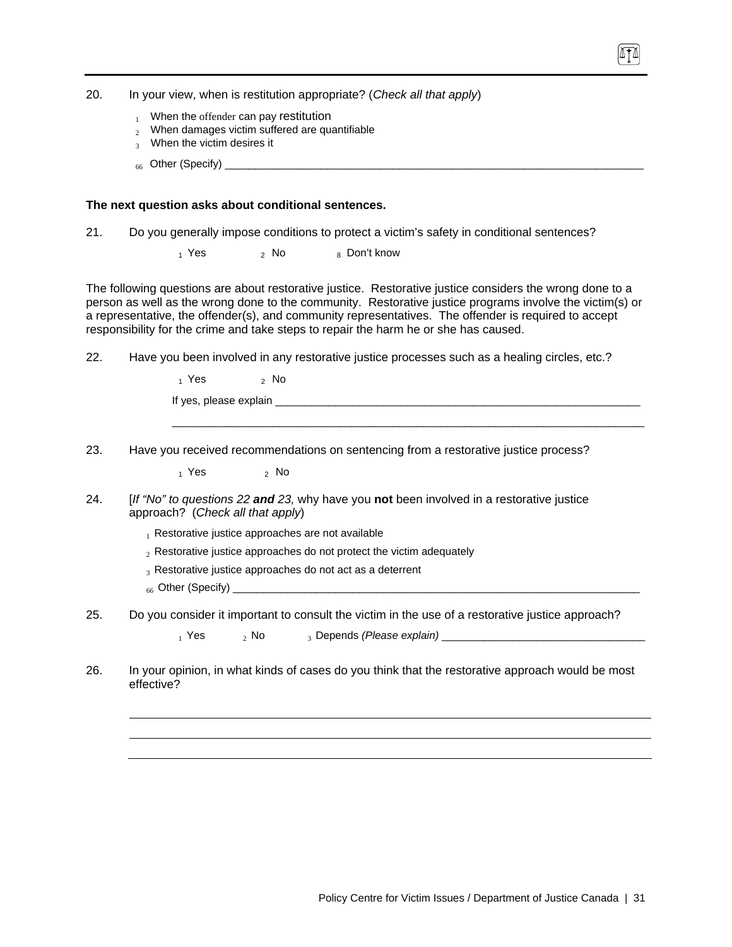20. In your view, when is restitution appropriate? (*Check all that apply*)

- $1$  When the offender can pay restitution
- $2$  When damages victim suffered are quantifiable
- 3 When the victim desires it
- $_{66}$  Other (Specify)  $_{\_}$

#### **The next question asks about conditional sentences.**

- 21. Do you generally impose conditions to protect a victim's safety in conditional sentences?
	- $1$  Yes  $2$  No  $8$  Don't know

The following questions are about restorative justice. Restorative justice considers the wrong done to a person as well as the wrong done to the community. Restorative justice programs involve the victim(s) or a representative, the offender(s), and community representatives. The offender is required to accept responsibility for the crime and take steps to repair the harm he or she has caused.

 $\overline{\phantom{a}}$  ,  $\overline{\phantom{a}}$  ,  $\overline{\phantom{a}}$  ,  $\overline{\phantom{a}}$  ,  $\overline{\phantom{a}}$  ,  $\overline{\phantom{a}}$  ,  $\overline{\phantom{a}}$  ,  $\overline{\phantom{a}}$  ,  $\overline{\phantom{a}}$  ,  $\overline{\phantom{a}}$  ,  $\overline{\phantom{a}}$  ,  $\overline{\phantom{a}}$  ,  $\overline{\phantom{a}}$  ,  $\overline{\phantom{a}}$  ,  $\overline{\phantom{a}}$  ,  $\overline{\phantom{a}}$ 

22. Have you been involved in any restorative justice processes such as a healing circles, etc.?

 $1$  Yes  $2$  No

If yes, please explain

23. Have you received recommendations on sentencing from a restorative justice process?

 $1$  Yes  $2$  No

- 24. [*If "No" to questions 22 and 23,* why have you **not** been involved in a restorative justice approach? (*Check all that apply*)
	- $<sub>1</sub>$  Restorative justice approaches are not available</sub>
	- $2$  Restorative justice approaches do not protect the victim adequately
	- 3 Restorative justice approaches do not act as a deterrent
	- $_{66}$  Other (Specify)  $\_$
- 25. Do you consider it important to consult the victim in the use of a restorative justice approach?

1 Yes 2 No 3 Depends (Please explain) **and Construct the Second Construct of A** 2 No 3 Depends (Please explain)

26. In your opinion, in what kinds of cases do you think that the restorative approach would be most effective?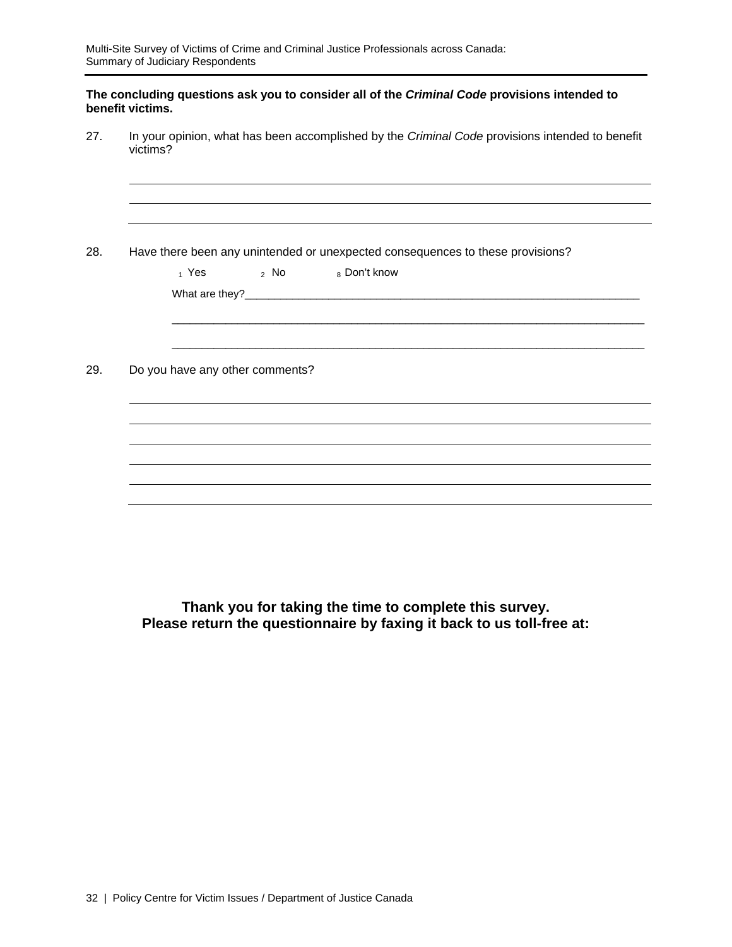#### **The concluding questions ask you to consider all of the** *Criminal Code* **provisions intended to benefit victims.**

27. In your opinion, what has been accomplished by the *Criminal Code* provisions intended to benefit victims?

|                                 | Have there been any unintended or unexpected consequences to these provisions? |  |
|---------------------------------|--------------------------------------------------------------------------------|--|
|                                 | $_1$ Yes $_2$ No $_8$ Don't know                                               |  |
|                                 |                                                                                |  |
|                                 |                                                                                |  |
|                                 |                                                                                |  |
| Do you have any other comments? |                                                                                |  |
|                                 |                                                                                |  |
|                                 |                                                                                |  |
|                                 |                                                                                |  |
|                                 |                                                                                |  |

**Thank you for taking the time to complete this survey. Please return the questionnaire by faxing it back to us toll-free at:**